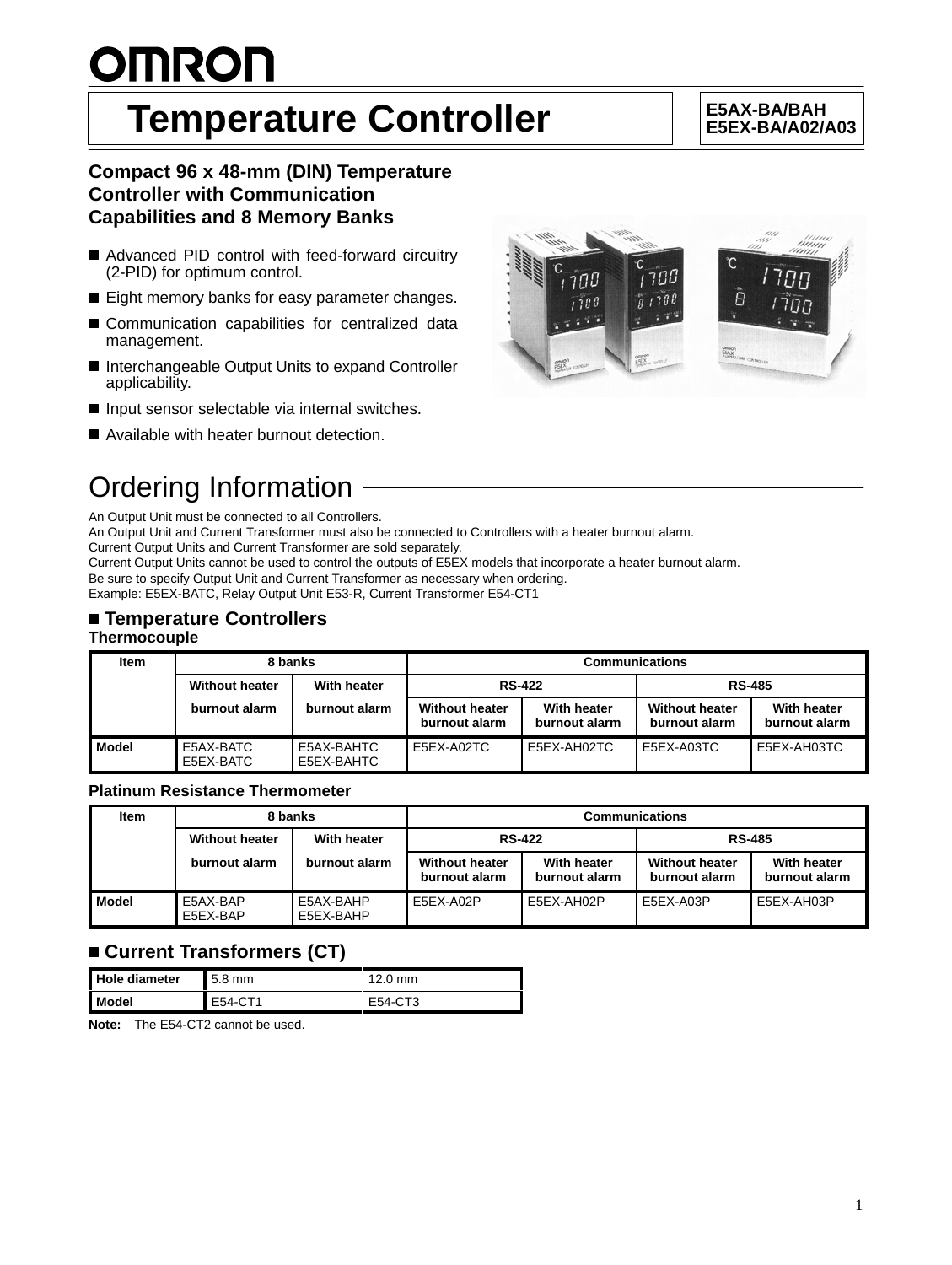# **OMRON**

## **Temperature Controller**  $\left|\begin{array}{c} \left|\begin{array}{c} \text{ESAX-BAYBAH} \\ \text{ESEX-BAYA021} \end{array}\right|\end{array}\right|$

## **E5EX-BA/A02/A03**

## **Compact 96 x 48-mm (DIN) Temperature Controller with Communication Capabilities and 8 Memory Banks**

- Advanced PID control with feed-forward circuitry (2-PID) for optimum control.
- Eight memory banks for easy parameter changes.
- Communication capabilities for centralized data management.
- Interchangeable Output Units to expand Controller applicability.
- Input sensor selectable via internal switches.
- Available with heater burnout detection.



An Output Unit must be connected to all Controllers.

An Output Unit and Current Transformer must also be connected to Controllers with a heater burnout alarm.

Current Output Units and Current Transformer are sold separately.

Current Output Units cannot be used to control the outputs of E5EX models that incorporate a heater burnout alarm. Be sure to specify Output Unit and Current Transformer as necessary when ordering.

Example: E5EX-BATC, Relay Output Unit E53-R, Current Transformer E54-CT1

### **Temperature Controllers Thermocouple**

#### **Item 8 banks Communications Without heater With heater RS-422 RS-485 burnout alarm burnout alarm Without heater burnout alarm With heater burnout alarm Without heater burnout alarm With heater burnout alarm Model** E5AX-BATC E5EX-BATC E5AX-BAHTC E5EX-BAHTC E5EX-A02TC E5EX-AH02TC E5EX-A03TC E5EX-AH03TC

#### **Platinum Resistance Thermometer**

| <b>Item</b>  | 8 banks               |                        | <b>Communications</b>                                                  |            |                                        |                              |
|--------------|-----------------------|------------------------|------------------------------------------------------------------------|------------|----------------------------------------|------------------------------|
|              | <b>Without heater</b> | With heater            | <b>RS-422</b>                                                          |            | <b>RS-485</b>                          |                              |
|              | burnout alarm         | burnout alarm          | With heater<br><b>Without heater</b><br>burnout alarm<br>burnout alarm |            | <b>Without heater</b><br>burnout alarm | With heater<br>burnout alarm |
| <b>Model</b> | E5AX-BAP<br>E5EX-BAP  | E5AX-BAHP<br>E5EX-BAHP | E5EX-A02P                                                              | E5EX-AH02P | E5EX-A03P                              | E5EX-AH03P                   |

## **Current Transformers (CT)**

| Hole diameter  | $5.8$ mm | $12.0$ mm |
|----------------|----------|-----------|
| <b>I</b> Model | E54-CT1  | E54-CT3   |

**Note:** The E54-CT2 cannot be used.

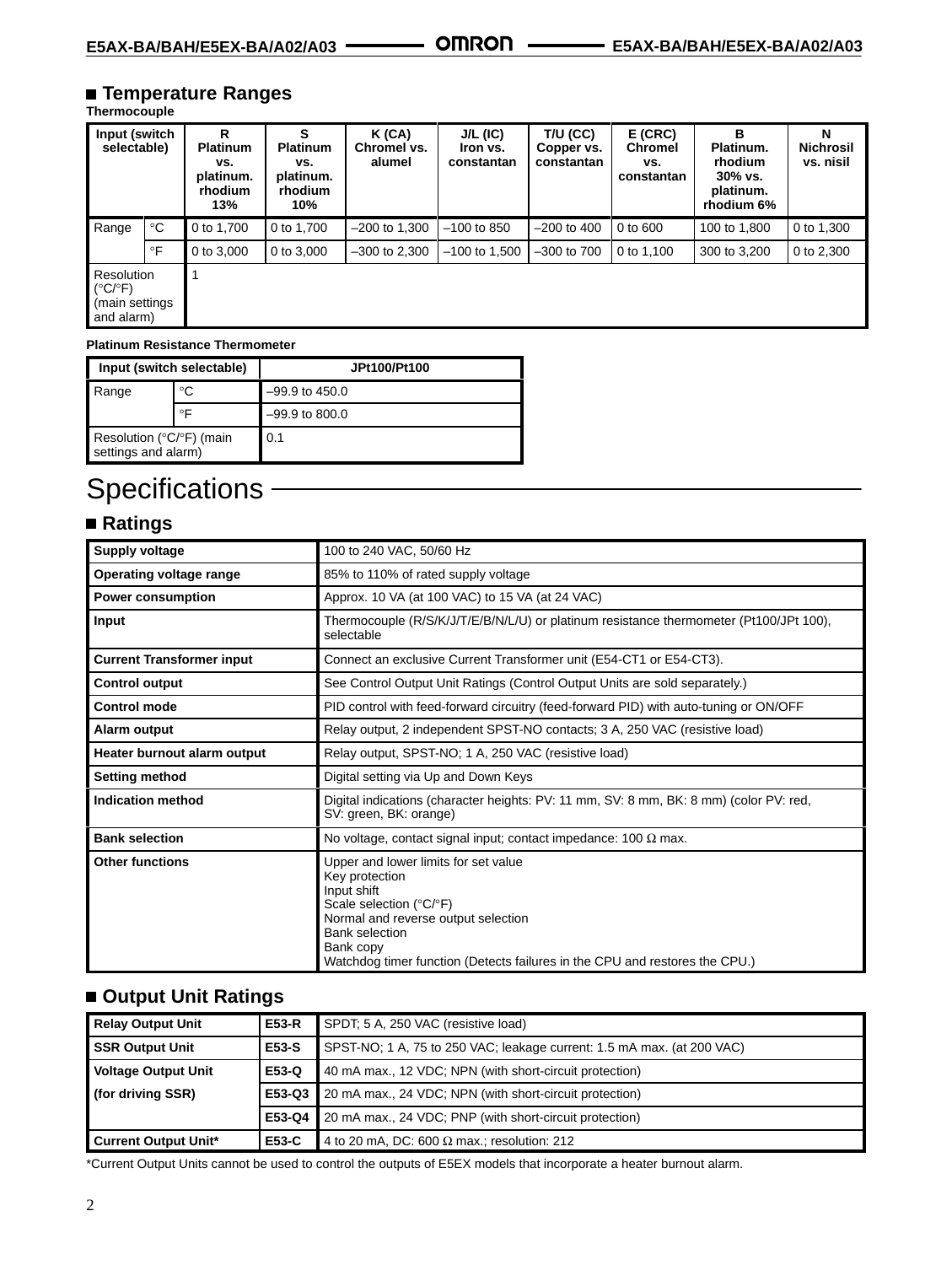## **Temperature Ranges**

#### **Thermocouple**

| Input (switch<br>selectable)                                             |              | R<br><b>Platinum</b><br>vs.<br>platinum.<br>rhodium<br>13% | s<br><b>Platinum</b><br>VS.<br>platinum.<br><b>rhodium</b><br>10% | K (CA)<br>Chromel vs.<br>alumel | $J/L$ (IC)<br>Iron vs.<br>constantan | $T/U$ (CC)<br>Copper vs.<br>constantan | E(CRC)<br><b>Chromel</b><br>vs.<br>constantan | в<br>Platinum.<br>rhodium<br>30% vs.<br>platinum.<br>rhodium 6% | N<br><b>Nichrosil</b><br>vs. nisil |
|--------------------------------------------------------------------------|--------------|------------------------------------------------------------|-------------------------------------------------------------------|---------------------------------|--------------------------------------|----------------------------------------|-----------------------------------------------|-----------------------------------------------------------------|------------------------------------|
| Range                                                                    | $^{\circ}$ C | 0 to 1.700                                                 | 0 to 1.700                                                        | $-200$ to 1.300                 | $-100$ to 850                        | $-200$ to 400                          | $0$ to $600$                                  | 100 to 1.800                                                    | 0 to 1.300                         |
|                                                                          | $\circ$ F    | 0 to 3,000                                                 | 0 to 3,000                                                        | $-300$ to 2.300                 | $-100$ to 1,500                      | $-300$ to $700$                        | 0 to 1.100                                    | 300 to 3,200                                                    | 0 to 2,300                         |
| Resolution<br>$(^{\circ}C/\ ^{\circ}F)$<br>(main settings)<br>and alarm) |              |                                                            |                                                                   |                                 |                                      |                                        |                                               |                                                                 |                                    |

#### **Platinum Resistance Thermometer**

| Input (switch selectable)                                                 |    | JPt100/Pt100   |
|---------------------------------------------------------------------------|----|----------------|
| °C<br>Range                                                               |    | –99.9 to 450.0 |
|                                                                           | ∘⊏ | –99.9 to 800.0 |
| Resolution ( ${}^{\circ}$ C/ ${}^{\circ}$ F) (main<br>settings and alarm) |    | 0.1            |

## Specifications -

## **Ratings**

| <b>Supply voltage</b>            | 100 to 240 VAC, 50/60 Hz                                                                                                                                                                                                                                     |
|----------------------------------|--------------------------------------------------------------------------------------------------------------------------------------------------------------------------------------------------------------------------------------------------------------|
| Operating voltage range          | 85% to 110% of rated supply voltage                                                                                                                                                                                                                          |
| <b>Power consumption</b>         | Approx. 10 VA (at 100 VAC) to 15 VA (at 24 VAC)                                                                                                                                                                                                              |
| Input                            | Thermocouple (R/S/K/J/T/E/B/N/L/U) or platinum resistance thermometer (Pt100/JPt 100),<br>selectable                                                                                                                                                         |
| <b>Current Transformer input</b> | Connect an exclusive Current Transformer unit (E54-CT1 or E54-CT3).                                                                                                                                                                                          |
| <b>Control output</b>            | See Control Output Unit Ratings (Control Output Units are sold separately.)                                                                                                                                                                                  |
| <b>Control mode</b>              | PID control with feed-forward circuitry (feed-forward PID) with auto-tuning or ON/OFF                                                                                                                                                                        |
| Alarm output                     | Relay output, 2 independent SPST-NO contacts; 3 A, 250 VAC (resistive load)                                                                                                                                                                                  |
| Heater burnout alarm output      | Relay output, SPST-NO; 1 A, 250 VAC (resistive load)                                                                                                                                                                                                         |
| <b>Setting method</b>            | Digital setting via Up and Down Keys                                                                                                                                                                                                                         |
| <b>Indication method</b>         | Digital indications (character heights: PV: 11 mm, SV: 8 mm, BK: 8 mm) (color PV: red,<br>SV: green, BK: orange)                                                                                                                                             |
| <b>Bank selection</b>            | No voltage, contact signal input; contact impedance: 100 $\Omega$ max.                                                                                                                                                                                       |
| <b>Other functions</b>           | Upper and lower limits for set value<br>Key protection<br>Input shift<br>Scale selection (°C/°F)<br>Normal and reverse output selection<br><b>Bank selection</b><br>Bank copy<br>Watchdog timer function (Detects failures in the CPU and restores the CPU.) |

## **Output Unit Ratings**

| <b>Relay Output Unit</b>    | E53-R        | SPDT, 5 A, 250 VAC (resistive load)                                    |  |
|-----------------------------|--------------|------------------------------------------------------------------------|--|
| <b>SSR Output Unit</b>      | E53-S        | SPST-NO; 1 A, 75 to 250 VAC; leakage current: 1.5 mA max. (at 200 VAC) |  |
| <b>Voltage Output Unit</b>  | E53-Q        | 40 mA max., 12 VDC; NPN (with short-circuit protection)                |  |
| (for driving SSR)           |              | <b>E53-Q3</b> 20 mA max., 24 VDC; NPN (with short-circuit protection)  |  |
|                             |              | <b>E53-Q4</b> 20 mA max., 24 VDC; PNP (with short-circuit protection)  |  |
| <b>Current Output Unit*</b> | <b>E53-C</b> | 4 to 20 mA, DC: 600 $\Omega$ max.; resolution: 212                     |  |

\*Current Output Units cannot be used to control the outputs of E5EX models that incorporate a heater burnout alarm.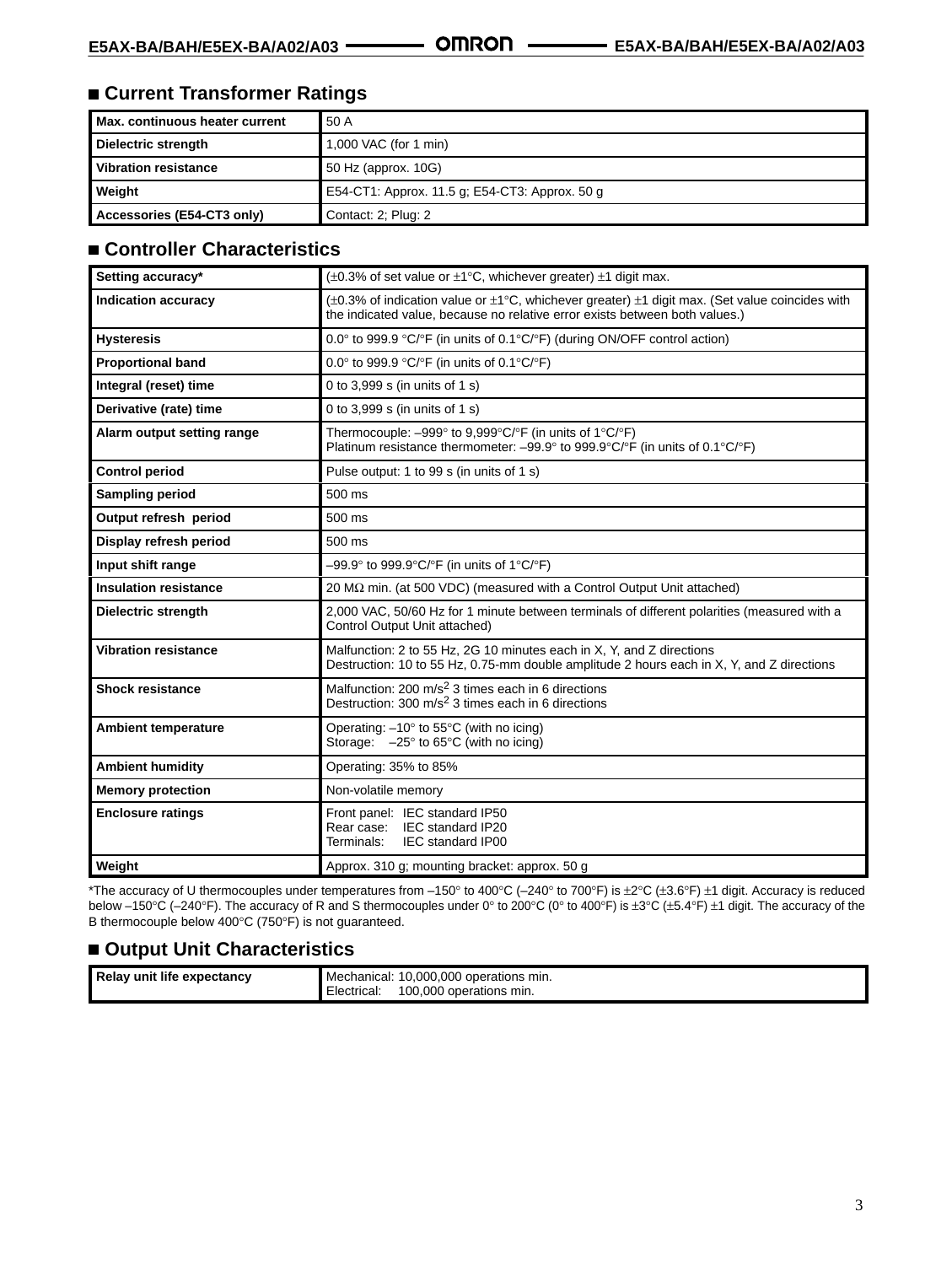## **Current Transformer Ratings**

| Max. continuous heater current | 50 A                                           |
|--------------------------------|------------------------------------------------|
| Dielectric strength            | 1,000 VAC (for 1 min)                          |
| <b>Vibration resistance</b>    | 50 Hz (approx. 10G)                            |
| Weight                         | E54-CT1: Approx. 11.5 g: E54-CT3: Approx. 50 g |
| Accessories (E54-CT3 only)     | Contact: 2; Plug: 2                            |

## **Controller Characteristics**

| Setting accuracy*            | $(\pm 0.3\%$ of set value or $\pm 1\degree$ C, whichever greater) $\pm 1$ digit max.                                                                                                                  |
|------------------------------|-------------------------------------------------------------------------------------------------------------------------------------------------------------------------------------------------------|
| <b>Indication accuracy</b>   | $(\pm 0.3\%$ of indication value or $\pm 1^{\circ}$ C, whichever greater) $\pm 1$ digit max. (Set value coincides with<br>the indicated value, because no relative error exists between both values.) |
| <b>Hysteresis</b>            | 0.0° to 999.9 °C/°F (in units of 0.1°C/°F) (during ON/OFF control action)                                                                                                                             |
| <b>Proportional band</b>     | 0.0° to 999.9 °C/°F (in units of 0.1°C/°F)                                                                                                                                                            |
| Integral (reset) time        | 0 to 3,999 s (in units of 1 s)                                                                                                                                                                        |
| Derivative (rate) time       | 0 to 3,999 s (in units of 1 s)                                                                                                                                                                        |
| Alarm output setting range   | Thermocouple: $-999^\circ$ to 9,999 $\degree$ C/ $\degree$ F (in units of 1 $\degree$ C/ $\degree$ F)<br>Platinum resistance thermometer: $-99.9^{\circ}$ to 999.9°C/°F (in units of 0.1°C/°F)        |
| <b>Control period</b>        | Pulse output: 1 to 99 s (in units of 1 s)                                                                                                                                                             |
| <b>Sampling period</b>       | 500 ms                                                                                                                                                                                                |
| Output refresh period        | $500$ ms                                                                                                                                                                                              |
| Display refresh period       | 500 ms                                                                                                                                                                                                |
| Input shift range            | $-99.9^{\circ}$ to 999.9 $^{\circ}$ C/ $^{\circ}$ F (in units of 1 $^{\circ}$ C/ $^{\circ}$ F)                                                                                                        |
| <b>Insulation resistance</b> | 20 MΩ min. (at 500 VDC) (measured with a Control Output Unit attached)                                                                                                                                |
| <b>Dielectric strength</b>   | 2,000 VAC, 50/60 Hz for 1 minute between terminals of different polarities (measured with a<br>Control Output Unit attached)                                                                          |
| <b>Vibration resistance</b>  | Malfunction: 2 to 55 Hz, 2G 10 minutes each in X, Y, and Z directions<br>Destruction: 10 to 55 Hz, 0.75-mm double amplitude 2 hours each in X, Y, and Z directions                                    |
| <b>Shock resistance</b>      | Malfunction: 200 m/s <sup>2</sup> 3 times each in 6 directions<br>Destruction: $300 \text{ m/s}^2$ 3 times each in 6 directions                                                                       |
| <b>Ambient temperature</b>   | Operating: $-10^\circ$ to 55 $\degree$ C (with no icing)<br>Storage: $-25^\circ$ to 65 $\degree$ C (with no icing)                                                                                    |
| <b>Ambient humidity</b>      | Operating: 35% to 85%                                                                                                                                                                                 |
| <b>Memory protection</b>     | Non-volatile memory                                                                                                                                                                                   |
| <b>Enclosure ratings</b>     | Front panel: IEC standard IP50<br>Rear case: IEC standard IP20<br>Terminals:<br><b>IEC standard IP00</b>                                                                                              |
| Weight                       | Approx. 310 g; mounting bracket: approx. 50 g                                                                                                                                                         |

\*The accuracy of U thermocouples under temperatures from –150° to 400°C (–240° to 700°F) is ±2°C (±3.6°F) ±1 digit. Accuracy is reduced below –150°C (–240°F). The accuracy of R and S thermocouples under 0° to 200°C (0° to 400°F) is ±3°C (±5.4°F) ±1 digit. The accuracy of the B thermocouple below 400°C (750°F) is not guaranteed.

## ■ Output Unit Characteristics

| Relay unit life expectancy | 10,000,000 operations min.<br>Mechanical: |
|----------------------------|-------------------------------------------|
|                            | 100.000<br>operations min.<br>Electrical: |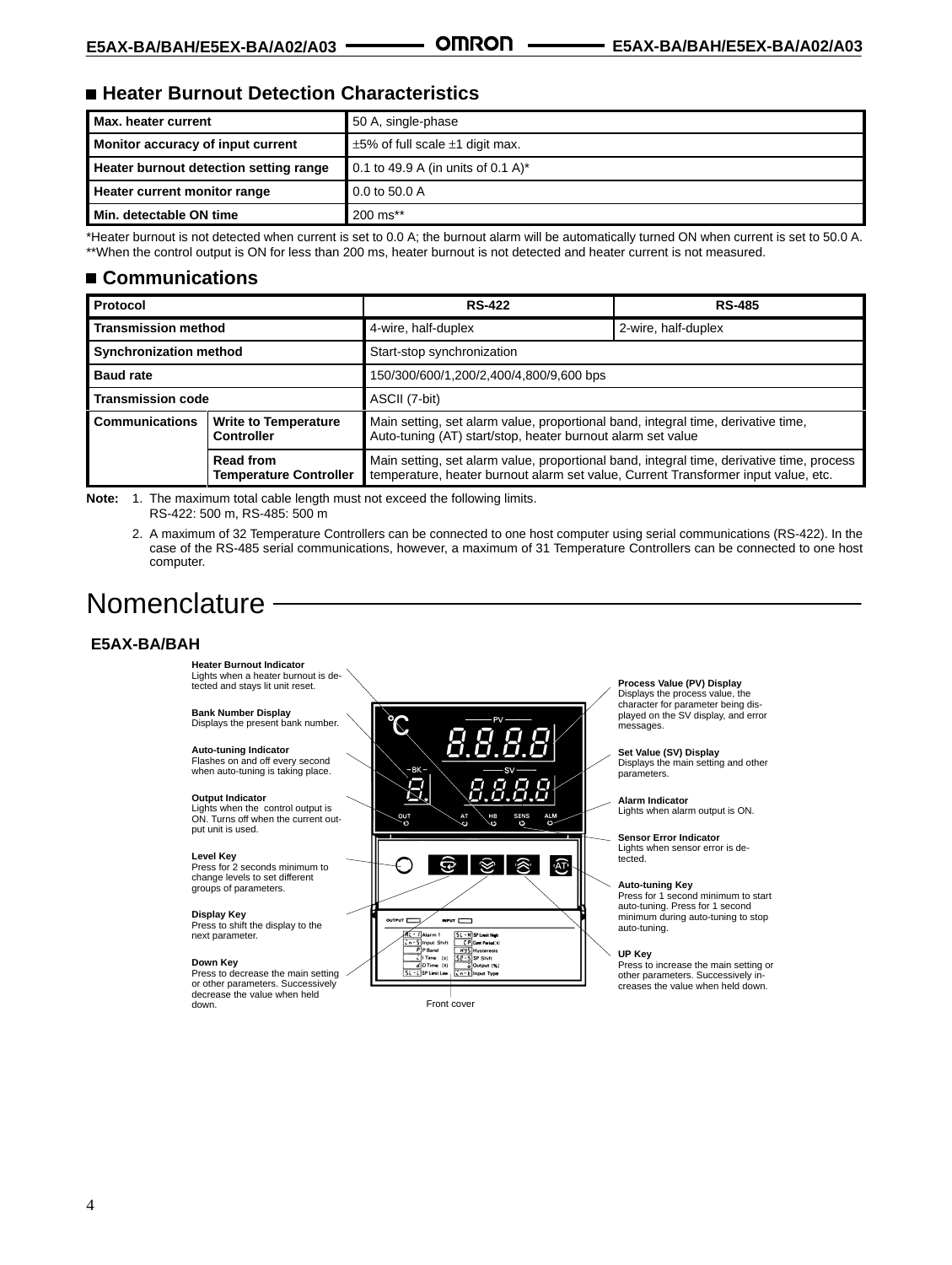## ■ Heater Burnout Detection Characteristics

| Max. heater current                    | 50 A, single-phase                        |
|----------------------------------------|-------------------------------------------|
| Monitor accuracy of input current      | $\pm$ 5% of full scale $\pm$ 1 digit max. |
| Heater burnout detection setting range | 0.1 to 49.9 A (in units of 0.1 A)*        |
| Heater current monitor range           | 0.0 to 50.0 A                             |
| Min. detectable ON time                | 200 ms**                                  |

\*Heater burnout is not detected when current is set to 0.0 A; the burnout alarm will be automatically turned ON when current is set to 50.0 A. \*\*When the control output is ON for less than 200 ms, heater burnout is not detected and heater current is not measured.

## **Communications**

| Protocol                                                                                                                       |  | <b>RS-422</b>                                                                                                                                                                   | <b>RS-485</b>       |  |
|--------------------------------------------------------------------------------------------------------------------------------|--|---------------------------------------------------------------------------------------------------------------------------------------------------------------------------------|---------------------|--|
| <b>Transmission method</b>                                                                                                     |  | 4-wire, half-duplex                                                                                                                                                             | 2-wire, half-duplex |  |
| <b>Synchronization method</b>                                                                                                  |  | Start-stop synchronization                                                                                                                                                      |                     |  |
| <b>Baud rate</b>                                                                                                               |  | 150/300/600/1,200/2,400/4,800/9,600 bps                                                                                                                                         |                     |  |
| <b>Transmission code</b>                                                                                                       |  | ASCII (7-bit)                                                                                                                                                                   |                     |  |
| <b>Communications</b><br><b>Write to Temperature</b><br><b>Controller</b><br><b>Read from</b><br><b>Temperature Controller</b> |  | Main setting, set alarm value, proportional band, integral time, derivative time,<br>Auto-tuning (AT) start/stop, heater burnout alarm set value                                |                     |  |
|                                                                                                                                |  | Main setting, set alarm value, proportional band, integral time, derivative time, process<br>temperature, heater burnout alarm set value, Current Transformer input value, etc. |                     |  |

**Note:** 1. The maximum total cable length must not exceed the following limits.

RS-422: 500 m, RS-485: 500 m

2. A maximum of 32 Temperature Controllers can be connected to one host computer using serial communications (RS-422). In the case of the RS-485 serial communications, however, a maximum of 31 Temperature Controllers can be connected to one host computer.

## Nomenclature -

## **E5AX-BA/BAH**



4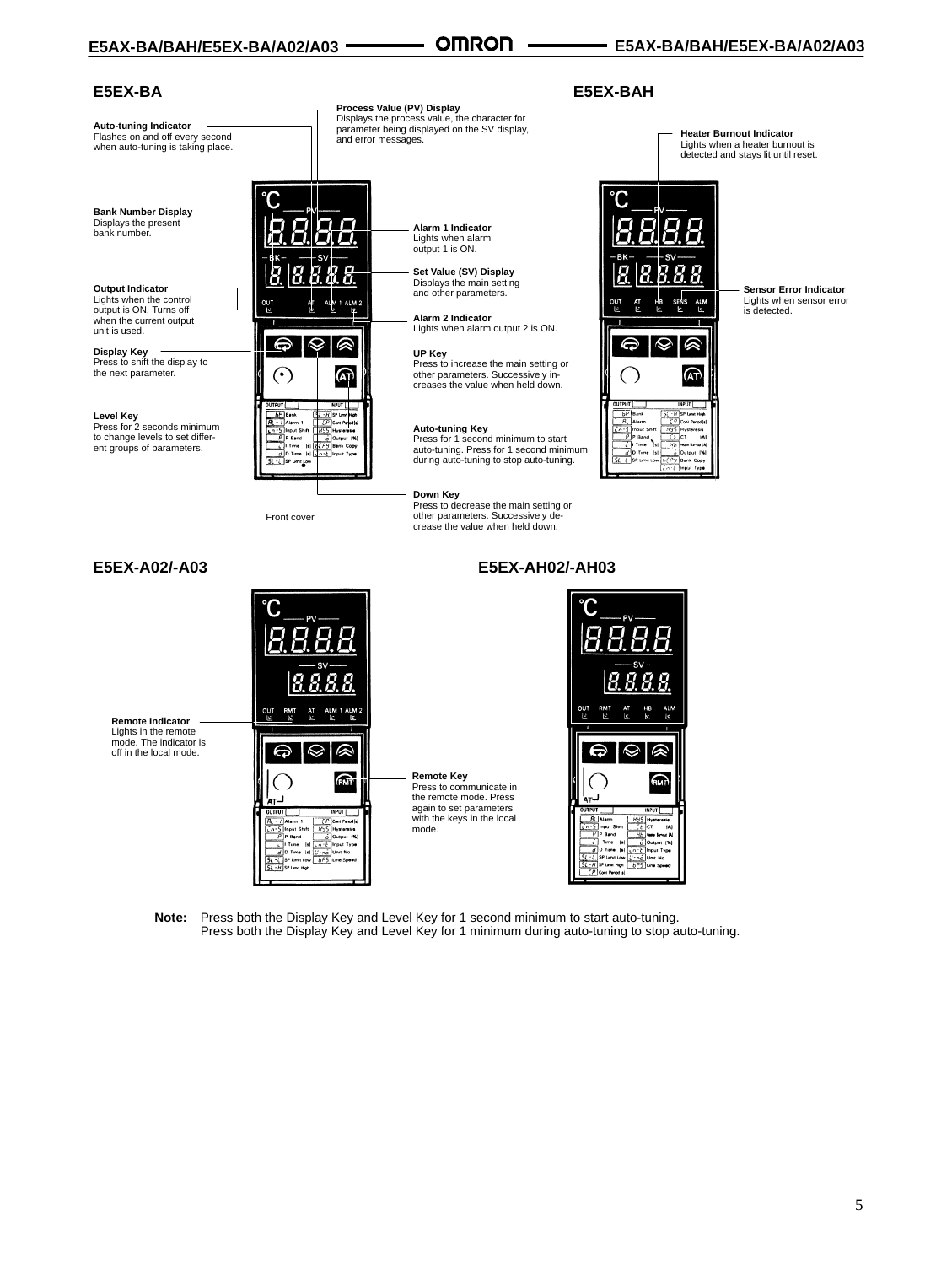**E5EX-BAH**

#### **E5EX-BA**

| <b>Auto-tuning Indicator</b><br>Flashes on and off every second<br>when auto-tuning is taking place.                                                                                             | and error messages.                                                                                                                                                                                     | Process Value (PV) Display<br>Displays the process value, the character for<br>parameter being displayed on the SV display,                                                                                                                                                 | <b>Heater Burnout Indicator</b>                                                                                                                                                                                                                                                     | Lights when a heater burnout is<br>detected and stays lit until reset.    |
|--------------------------------------------------------------------------------------------------------------------------------------------------------------------------------------------------|---------------------------------------------------------------------------------------------------------------------------------------------------------------------------------------------------------|-----------------------------------------------------------------------------------------------------------------------------------------------------------------------------------------------------------------------------------------------------------------------------|-------------------------------------------------------------------------------------------------------------------------------------------------------------------------------------------------------------------------------------------------------------------------------------|---------------------------------------------------------------------------|
| <b>Bank Number Display</b><br>Displays the present<br>bank number.                                                                                                                               |                                                                                                                                                                                                         | Alarm 1 Indicator<br>Lights when alarm<br>output 1 is ON.                                                                                                                                                                                                                   | RK                                                                                                                                                                                                                                                                                  |                                                                           |
| <b>Output Indicator</b><br>Lights when the control<br>output is ON. Turns off<br>when the current output<br>unit is used.<br>Display Key<br>Press to shift the display to<br>the next parameter. | 읂<br>1 ALM 2<br>Q<br>∾<br>⇔<br>(ልት<br>٠,                                                                                                                                                                | Set Value (SV) Display<br>Displays the main setting<br>and other parameters.<br><b>Alarm 2 Indicator</b><br>Lights when alarm output 2 is ON.<br>UP Key<br>Press to increase the main setting or<br>other parameters. Successively in-<br>creases the value when held down. | OUT<br>A1M<br><b>le</b><br>⊝<br>ଳ                                                                                                                                                                                                                                                   | <b>Sensor Error Indicator</b><br>Lights when sensor error<br>is detected. |
| <b>Level Key</b><br>Press for 2 seconds minimum<br>to change levels to set differ-<br>ent groups of parameters.                                                                                  | INPUT    <br>OUTPUT<br>SL - H SP Limit High<br><b>b</b> <sup>H</sup> Bank<br>CP Com Perodial<br>$R_{L}$ - $I$ Alerm 1<br>in-5 Input Shift<br>$P$ P Band<br>Output [%]<br>Time Isl <b>BCPY</b> Bank Copy | <b>Auto-tuning Key</b><br>Press for 1 second minimum to start<br>auto-tuning. Press for 1 second minimum<br>during auto-tuning to stop auto-tuning.                                                                                                                         | NPUT I<br>OUTPUT<br>SL - H SP Line High<br>$b^p$ Bank<br>RL Alarm<br>C <sup>O</sup> Coni Penotis<br>NYS Hysteresis<br>Cont Pence [s]<br>Input Shift<br>ुट्टीटा 141<br>P Band<br>emit i<br><b>NO</b> Hele Broad IA<br>$0$ Time Isl<br>Output  % <br>Py Bank Copy<br>n - ¿ Imput Type |                                                                           |
|                                                                                                                                                                                                  | Front cover                                                                                                                                                                                             | Down Key<br>Press to decrease the main setting or<br>other parameters. Successively de-<br>crease the value when held down.                                                                                                                                                 |                                                                                                                                                                                                                                                                                     |                                                                           |
| E5EX-A02/-A03                                                                                                                                                                                    |                                                                                                                                                                                                         | E5EX-AH02/-AH03                                                                                                                                                                                                                                                             |                                                                                                                                                                                                                                                                                     |                                                                           |
| <b>Remote Indicator</b><br>Lights in the remote<br>mode. The indicator is<br>off in the local mode.                                                                                              | out<br>عا<br>RMT<br>N<br>❤<br>⇔<br><b>RMT</b><br>INPUT<br><b>OUTPUT</b><br>$R_i$ · $l$ Alarm 1<br><b>FP</b> Com Pencd (s)                                                                               | <b>Remote Key</b><br>Press to communicate in<br>the remote mode. Press<br>again to set parameters<br>with the keys in the local                                                                                                                                             | <b>RMT</b><br><b>ALM</b><br>OUT<br>H <sub>8</sub><br>lc.<br>ћмт<br><b>OUTPUT</b><br><b>INPUT</b><br>R. Alerm<br>HYS Hysterosis                                                                                                                                                      |                                                                           |

**Note:** Press both the Display Key and Level Key for 1 second minimum to start auto-tuning. Press both the Display Key and Level Key for 1 minimum during auto-tuning to stop auto-tuning.

mode.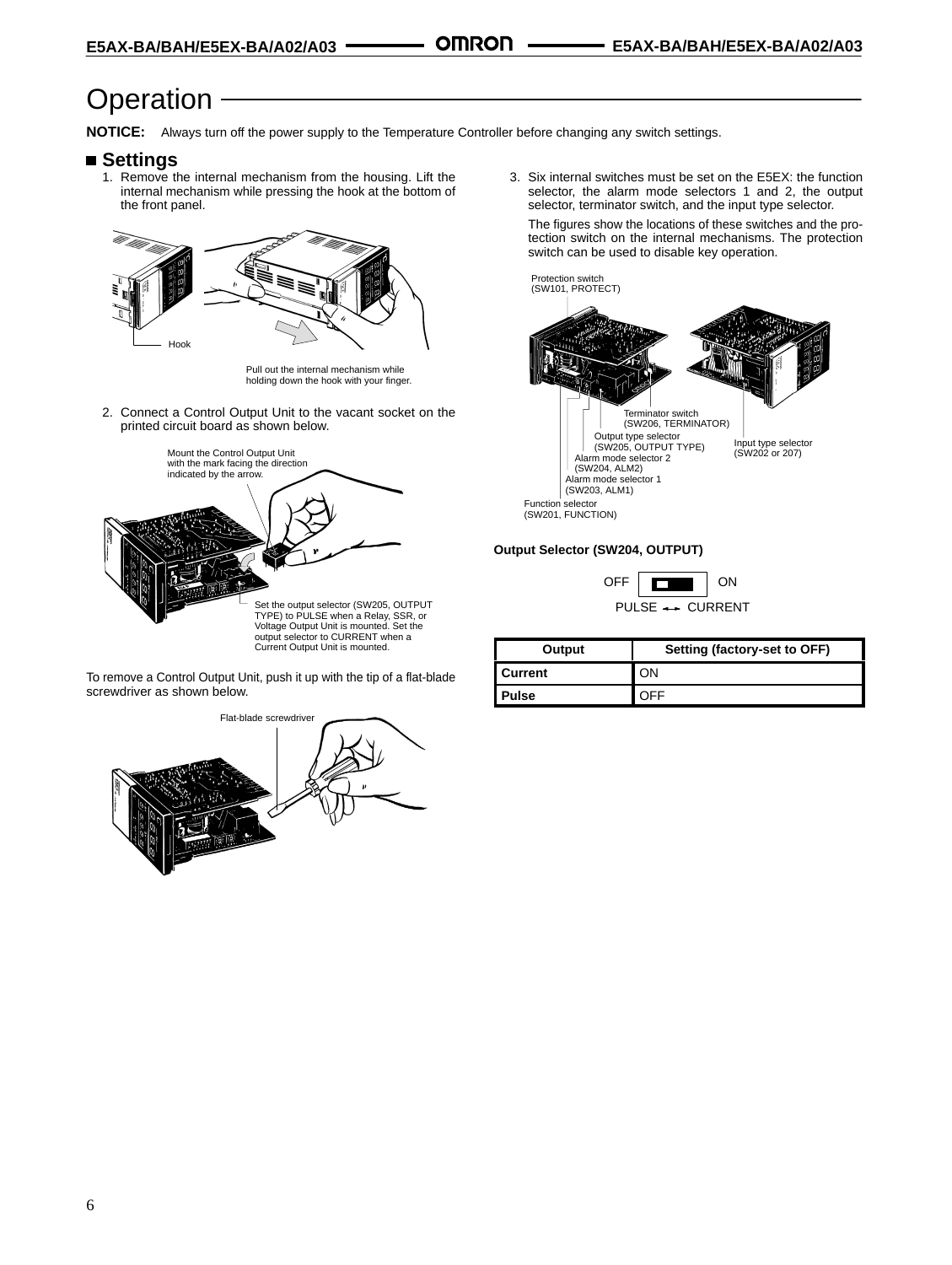## **Operation**

**NOTICE:** Always turn off the power supply to the Temperature Controller before changing any switch settings.

#### ■ Settings

1. Remove the internal mechanism from the housing. Lift the internal mechanism while pressing the hook at the bottom of the front panel.



Pull out the internal mechanism while holding down the hook with your finger.

2. Connect a Control Output Unit to the vacant socket on the printed circuit board as shown below.



To remove a Control Output Unit, push it up with the tip of a flat-blade screwdriver as shown below.



3. Six internal switches must be set on the E5EX: the function selector, the alarm mode selectors 1 and 2, the output selector, terminator switch, and the input type selector.

The figures show the locations of these switches and the protection switch on the internal mechanisms. The protection switch can be used to disable key operation.



#### **Output Selector (SW204, OUTPUT)**

| OEE |                                   |  |
|-----|-----------------------------------|--|
|     | $PII SF \leftrightarrow CIIRRFNT$ |  |

| Output  | Setting (factory-set to OFF) |
|---------|------------------------------|
| Current | JЛ                           |
| Pulse   |                              |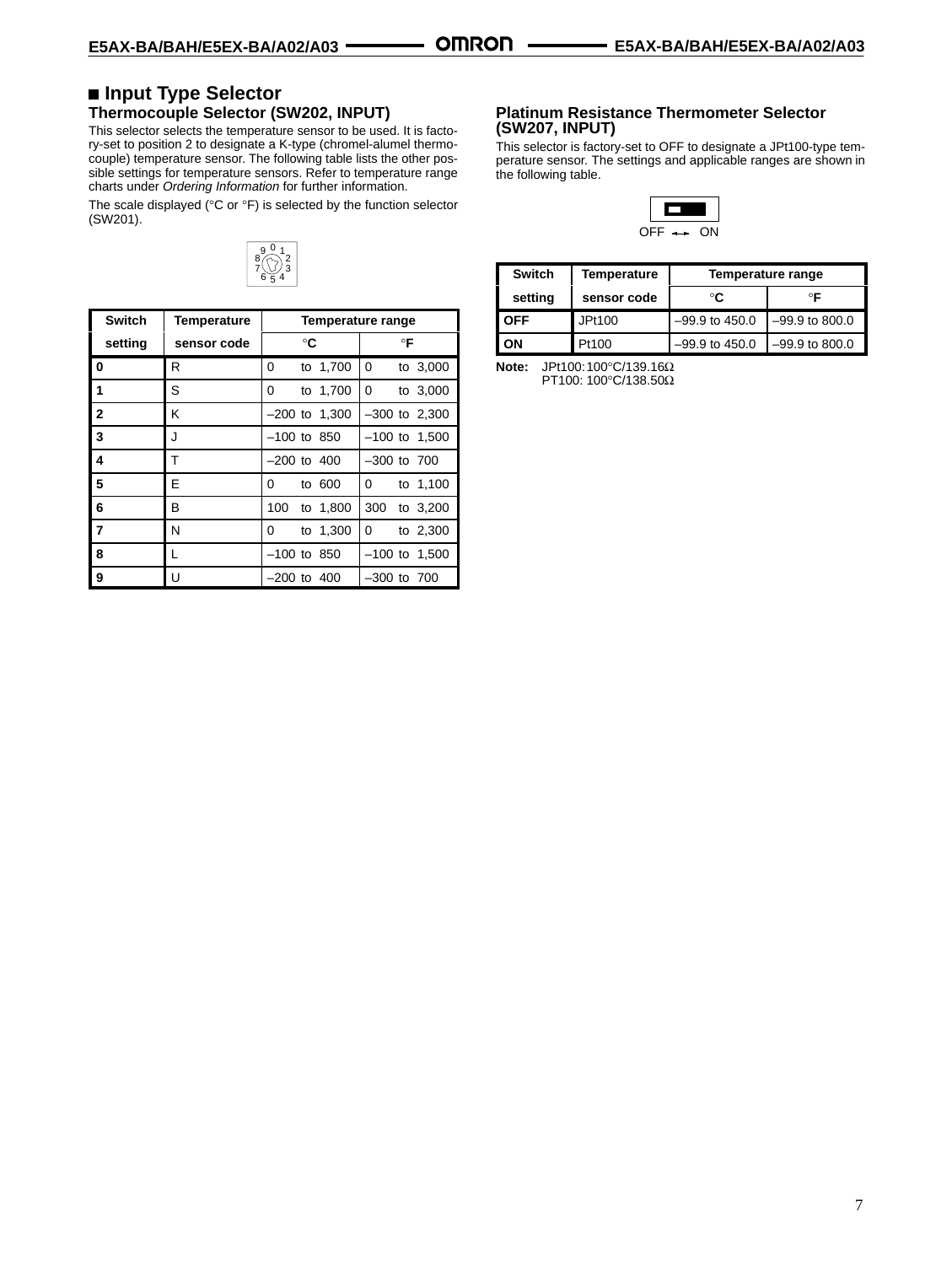#### ■ Input Type Selector **Thermocouple Selector (SW202, INPUT)**

This selector selects the temperature sensor to be used. It is factory-set to position 2 to designate a K-type (chromel-alumel thermocouple) temperature sensor. The following table lists the other possible settings for temperature sensors. Refer to temperature range charts under *Ordering Information* for further information.

The scale displayed (°C or °F) is selected by the function selector (SW201).



| <b>Switch</b>  | <b>Temperature</b> |               |    | Temperature range |                 |    |                   |
|----------------|--------------------|---------------|----|-------------------|-----------------|----|-------------------|
| setting        | sensor code        |               | °C |                   |                 | °F |                   |
| 0              | R                  | 0             |    | to 1,700          | 0               |    | to 3,000          |
| 1              | S                  | 0             |    | to 1,700          | 0               |    | to 3,000          |
| $\overline{2}$ | Κ                  |               |    | $-200$ to 1,300   |                 |    | $-300$ to $2,300$ |
| 3              | J                  | $-100$ to 850 |    |                   |                 |    | $-100$ to 1,500   |
| 4              | т                  | $-200$ to 400 |    |                   | $-300$ to $700$ |    |                   |
| 5              | Е                  | 0             |    | to 600            | 0               |    | to 1,100          |
| 6              | В                  | 100           |    | to 1,800          | 300             |    | to 3,200          |
| $\overline{7}$ | N                  | 0             |    | to 1,300          | 0               |    | to 2,300          |
| 8              | L                  | $-100$ to 850 |    |                   |                 |    | $-100$ to 1,500   |
| 9              | U                  | $-200$ to 400 |    |                   | $-300$ to $700$ |    |                   |

#### **Platinum Resistance Thermometer Selector (SW207, INPUT)**

This selector is factory-set to OFF to designate a JPt100-type temperature sensor. The settings and applicable ranges are shown in the following table.



| <b>Switch</b> | Temperature | Temperature range |                  |
|---------------|-------------|-------------------|------------------|
| setting       | sensor code | °€                | ∘⊏               |
| <b>OFF</b>    | JPt100      | $-99.9$ to 450.0  | $-99.9$ to 800.0 |
| אכ            | Pt100       | $-99.9$ to 450.0  | -99.9 to 800.0   |

**Note:** JPt100:100°C/139.16Ω PT100: 100°C/138.50Ω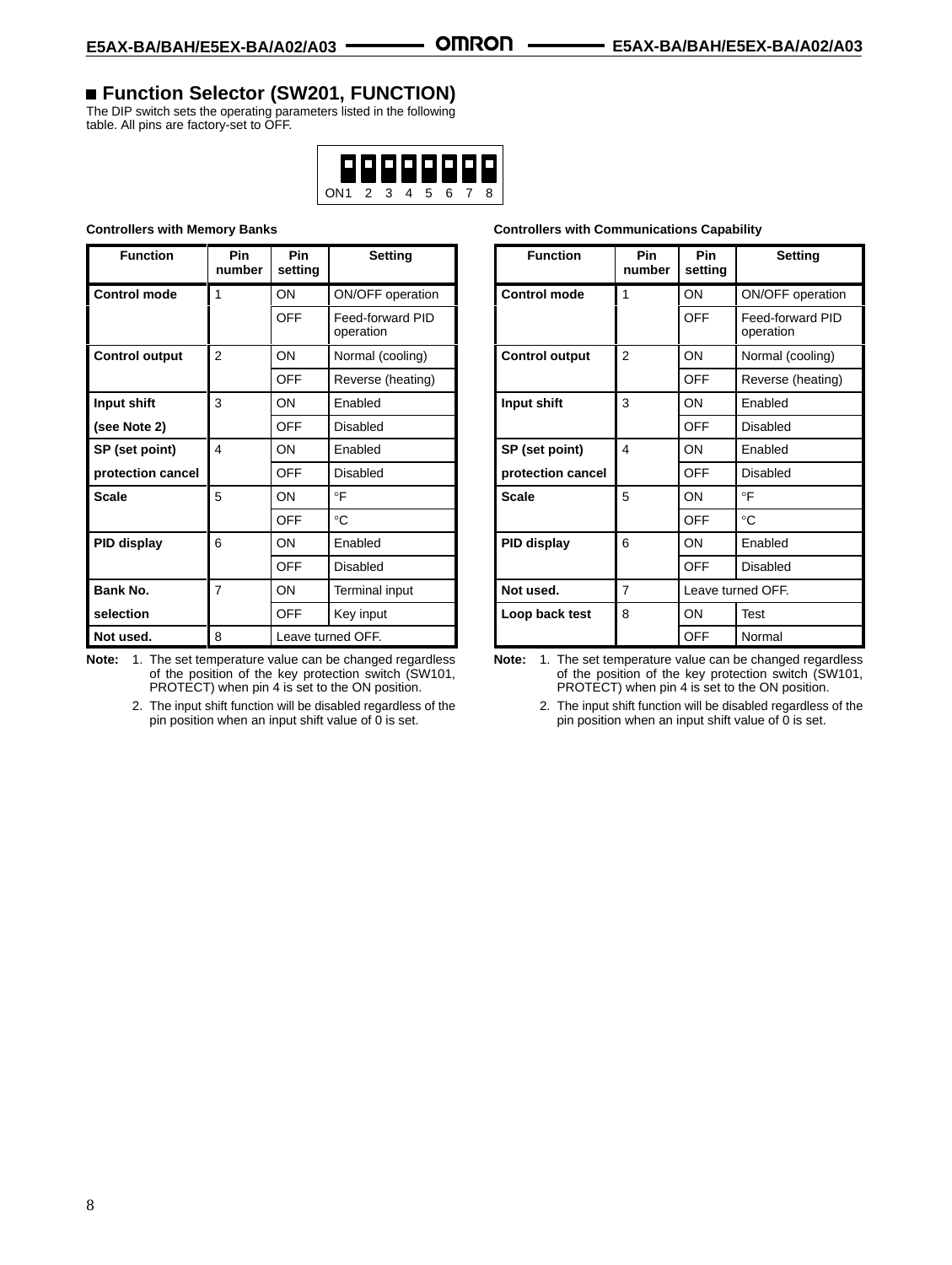## **Function Selector (SW201, FUNCTION)**

The DIP switch sets the operating parameters listed in the following table. All pins are factory-set to OFF.



#### **Controllers with Memory Banks**

| <b>Function</b>       | Pin<br>number  | Pin<br>setting    | <b>Setting</b>                |
|-----------------------|----------------|-------------------|-------------------------------|
| <b>Control mode</b>   | 1              | ON                | ON/OFF operation              |
|                       |                | <b>OFF</b>        | Feed-forward PID<br>operation |
| <b>Control output</b> | $\overline{2}$ | ON                | Normal (cooling)              |
|                       |                | <b>OFF</b>        | Reverse (heating)             |
| Input shift           | 3              | OΝ                | Enabled                       |
| (see Note 2)          |                | <b>OFF</b>        | Disabled                      |
| SP (set point)        | 4              | ON                | <b>Fnabled</b>                |
| protection cancel     |                | OFF               | Disabled                      |
| <b>Scale</b>          | 5              | OΝ                | $\circ$ F                     |
|                       |                | <b>OFF</b>        | °C                            |
| PID display           | 6              | OΝ                | Enabled                       |
|                       |                | OFF               | Disabled                      |
| <b>Bank No.</b>       | $\overline{7}$ | OΝ                | <b>Terminal input</b>         |
| selection             |                | OFF               | Key input                     |
| Not used.             | 8              | Leave turned OFF. |                               |

**Note:** 1. The set temperature value can be changed regardless of the position of the key protection switch (SW101, PROTECT) when pin 4 is set to the ON position.

> 2. The input shift function will be disabled regardless of the pin position when an input shift value of  $\tilde{0}$  is set.

| <b>Controllers with Communications Capability</b> |  |
|---------------------------------------------------|--|
|---------------------------------------------------|--|

| <b>Function</b>       | Pin<br>number | Pin<br>setting    | <b>Setting</b>                |
|-----------------------|---------------|-------------------|-------------------------------|
| <b>Control mode</b>   | 1             | ON                | ON/OFF operation              |
|                       |               | <b>OFF</b>        | Feed-forward PID<br>operation |
| <b>Control output</b> | 2             | ON                | Normal (cooling)              |
|                       |               | OFF               | Reverse (heating)             |
| Input shift           | 3             | OΝ                | Enabled                       |
|                       |               | <b>OFF</b>        | Disabled                      |
| SP (set point)        | 4             | ON                | Fnabled                       |
| protection cancel     |               | OFF               | <b>Disabled</b>               |
| <b>Scale</b>          | 5             | ON                | $\circ \mathsf{F}$            |
|                       |               | <b>OFF</b>        | $^{\circ}C$                   |
| PID display           | 6             | OΝ                | Enabled                       |
|                       |               | <b>OFF</b>        | <b>Disabled</b>               |
| Not used.             | 7             | Leave turned OFF. |                               |
| Loop back test        | 8             | OΝ                | Test                          |
|                       |               | <b>OFF</b>        | Normal                        |

**Note:** 1. The set temperature value can be changed regardless of the position of the key protection switch (SW101, PROTECT) when pin 4 is set to the ON position.

> 2. The input shift function will be disabled regardless of the pin position when an input shift value of  $\breve{0}$  is set.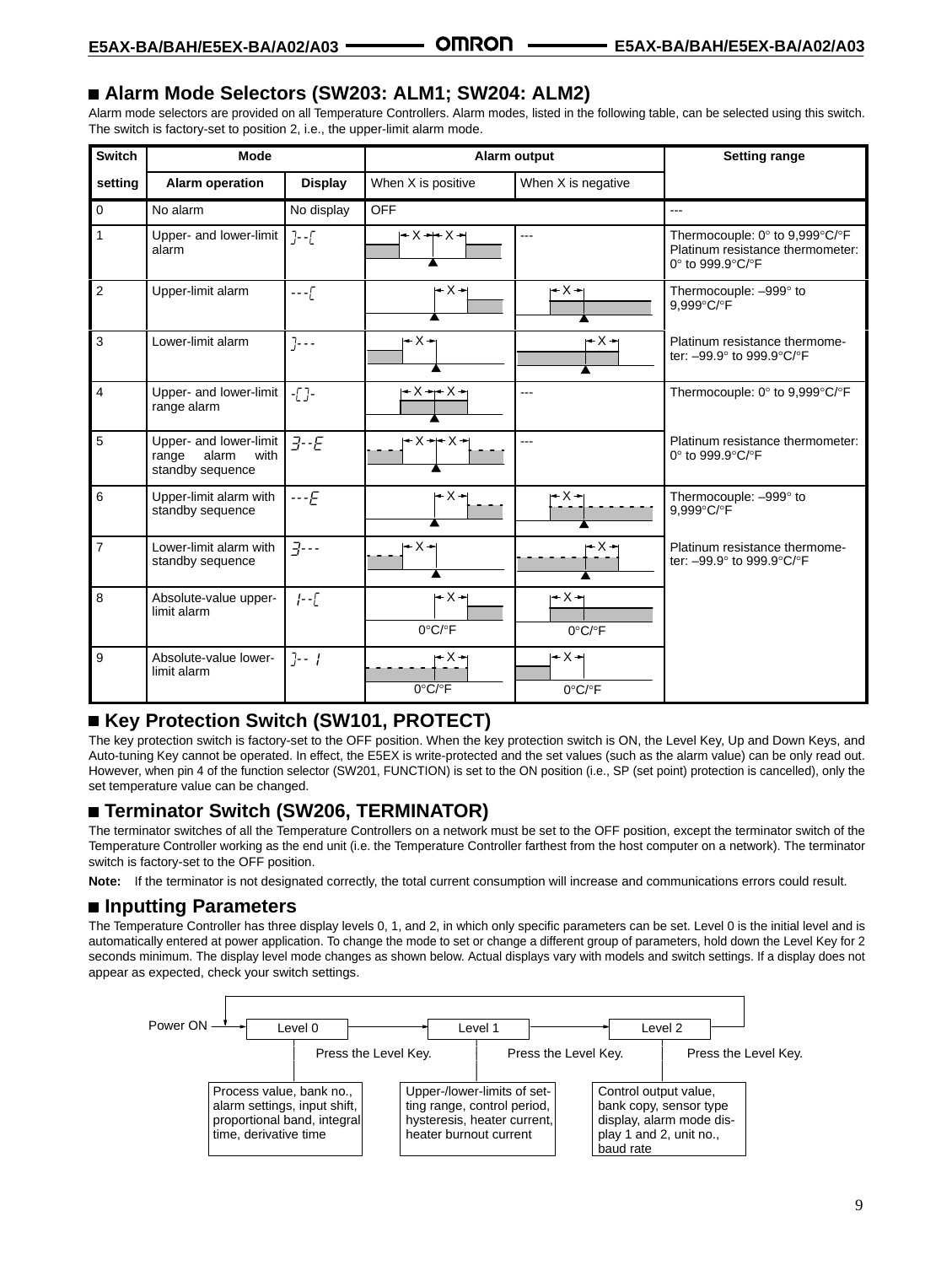## **Alarm Mode Selectors (SW203: ALM1; SW204: ALM2)**

Alarm mode selectors are provided on all Temperature Controllers. Alarm modes, listed in the following table, can be selected using this switch. The switch is factory-set to position 2, i.e., the upper-limit alarm mode.

| <b>Switch</b>  | <b>Mode</b>                                                          |                    |                                   | Alarm output                                   | <b>Setting range</b>                                                                   |
|----------------|----------------------------------------------------------------------|--------------------|-----------------------------------|------------------------------------------------|----------------------------------------------------------------------------------------|
| setting        | <b>Alarm operation</b>                                               | <b>Display</b>     | When X is positive                | When X is negative                             |                                                                                        |
| $\mathbf{0}$   | No alarm                                                             | No display         | <b>OFF</b>                        |                                                | ---                                                                                    |
| $\mathbf{1}$   | Upper- and lower-limit<br>alarm                                      | $\left] - \right[$ | l←X →⊢ X →                        | $---$                                          | Thermocouple: 0° to 9,999°C/°F<br>Platinum resistance thermometer:<br>0° to 999.9°C/°F |
| $\overline{2}$ | Upper-limit alarm                                                    | $---($             | $+X+$                             | $- X -$                                        | Thermocouple: -999° to<br>9,999°C/°F                                                   |
| 3              | Lower-limit alarm                                                    | $] - -$            | $-x +$                            | $- X -$                                        | Platinum resistance thermome-<br>ter: -99.9° to 999.9°C/°F                             |
| $\overline{4}$ | Upper- and lower-limit<br>range alarm                                | $-[$ ]-            | $+X+X+$                           | $---$                                          | Thermocouple: $0^\circ$ to 9,999 $^\circ$ C/ $^\circ$ F                                |
| 5              | Upper- and lower-limit<br>alarm<br>range<br>with<br>standby sequence | $J - E$            |                                   | ---                                            | Platinum resistance thermometer:<br>0° to 999.9°C/°F                                   |
| 6              | Upper-limit alarm with<br>standby sequence                           | $-$ - $E$          | $ -X- $                           | $-X-$                                          | Thermocouple: -999° to<br>9,999°C/°F                                                   |
| $\overline{7}$ | Lower-limit alarm with<br>standby sequence                           | $\exists \cdots$   | – X →                             | r X →                                          | Platinum resistance thermome-<br>ter: -99.9° to 999.9°C/°F                             |
| 8              | Absolute-value upper-<br>limit alarm                                 | $1 - 1$            | $ -X- $<br>$0^{\circ}C/\circ F$   | I <del>+</del> X →<br>$0^{\circ}$ C/ $\circ$ F |                                                                                        |
| 9              | Absolute-value lower-<br>limit alarm                                 | $7 - 1$            | r∸X →<br>$0^{\circ}$ C/ $\circ$ F | l + X →<br>$0^{\circ}C/\circ F$                |                                                                                        |

## **Key Protection Switch (SW101, PROTECT)**

The key protection switch is factory-set to the OFF position. When the key protection switch is ON, the Level Key, Up and Down Keys, and Auto-tuning Key cannot be operated. In effect, the E5EX is write-protected and the set values (such as the alarm value) can be only read out. However, when pin 4 of the function selector (SW201, FUNCTION) is set to the ON position (i.e., SP (set point) protection is cancelled), only the set temperature value can be changed.

## **Terminator Switch (SW206, TERMINATOR)**

The terminator switches of all the Temperature Controllers on a network must be set to the OFF position, except the terminator switch of the Temperature Controller working as the end unit (i.e. the Temperature Controller farthest from the host computer on a network). The terminator switch is factory-set to the OFF position.

**Note:** If the terminator is not designated correctly, the total current consumption will increase and communications errors could result.

## ■ **Inputting Parameters**

The Temperature Controller has three display levels 0, 1, and 2, in which only specific parameters can be set. Level 0 is the initial level and is automatically entered at power application. To change the mode to set or change a different group of parameters, hold down the Level Key for 2 seconds minimum. The display level mode changes as shown below. Actual displays vary with models and switch settings. If a display does not appear as expected, check your switch settings.

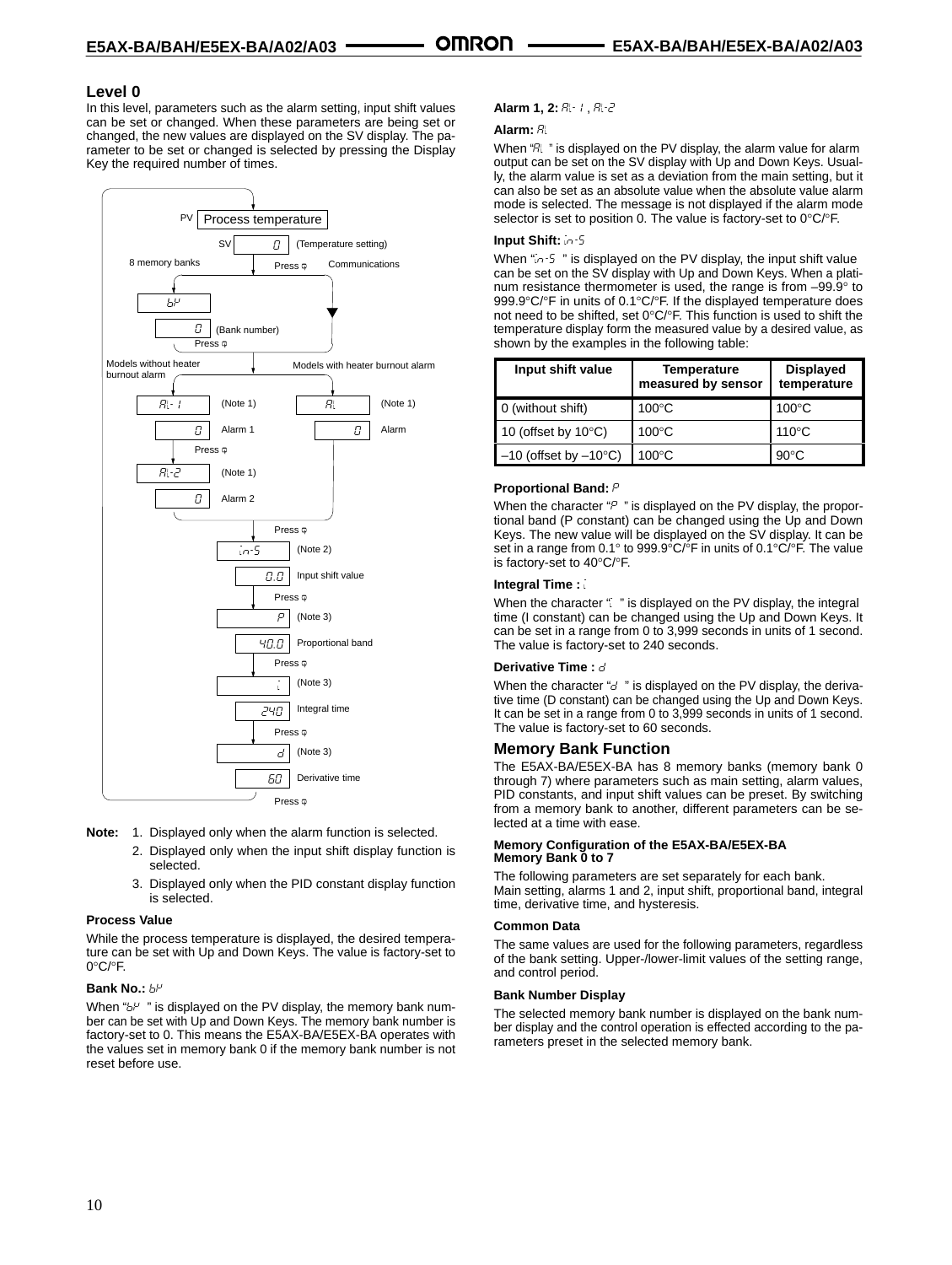#### **Level 0**

In this level, parameters such as the alarm setting, input shift values can be set or changed. When these parameters are being set or changed, the new values are displayed on the SV display. The parameter to be set or changed is selected by pressing the Display Key the required number of times.



- **Note:** 1. Displayed only when the alarm function is selected.
	- 2. Displayed only when the input shift display function is selected.
	- 3. Displayed only when the PID constant display function is selected.

#### **Process Value**

While the process temperature is displayed, the desired temperature can be set with Up and Down Keys. The value is factory-set to 0°C/°F.

#### **Bank No.:**

When " $b^{\mu}$  " is displayed on the PV display, the memory bank number can be set with Up and Down Keys. The memory bank number is factory-set to 0. This means the E5AX-BA/E5EX-BA operates with the values set in memory bank 0 if the memory bank number is not reset before use.

#### Alarm 1, 2: R-1, R-2

#### **Alarm:**

When "R " is displayed on the PV display, the alarm value for alarm output can be set on the SV display with Up and Down Keys. Usually, the alarm value is set as a deviation from the main setting, but it can also be set as an absolute value when the absolute value alarm mode is selected. The message is not displayed if the alarm mode selector is set to position 0. The value is factory-set to 0°C/°F.

#### **Input Shift:** -

When "in-5" is displayed on the PV display, the input shift value can be set on the SV display with Up and Down Keys. When a platinum resistance thermometer is used, the range is from –99.9° to 999.9°C/°F in units of 0.1°C/°F. If the displayed temperature does not need to be shifted, set 0°C/°F. This function is used to shift the temperature display form the measured value by a desired value, as shown by the examples in the following table:

| Input shift value                 | <b>Temperature</b><br>measured by sensor | <b>Displayed</b><br>temperature |
|-----------------------------------|------------------------------------------|---------------------------------|
| 0 (without shift)                 | $100^{\circ}$ C                          | $100^{\circ}$ C                 |
| 10 (offset by $10^{\circ}$ C)     | $100^{\circ}$ C                          | $110^{\circ}$ C                 |
| $-10$ (offset by $-10^{\circ}$ C) | $100^{\circ}$ C                          | $90^{\circ}$ C                  |

#### **Proportional Band:**

When the character " $P$ " is displayed on the PV display, the proportional band (P constant) can be changed using the Up and Down Keys. The new value will be displayed on the SV display. It can be set in a range from 0.1° to 999.9°C/°F in units of 0.1°C/°F. The value is factory-set to 40°C/°F.

#### **Integral Time :**

When the character " is displayed on the PV display, the integral time (I constant) can be changed using the Up and Down Keys. It can be set in a range from 0 to 3,999 seconds in units of 1 second. The value is factory-set to 240 seconds.

#### **Derivative Time :**

When the character " $d$ " is displayed on the PV display, the derivative time (D constant) can be changed using the Up and Down Keys. It can be set in a range from 0 to 3,999 seconds in units of 1 second. The value is factory-set to 60 seconds.

#### **Memory Bank Function**

The E5AX-BA/E5EX-BA has 8 memory banks (memory bank 0 through 7) where parameters such as main setting, alarm values, PID constants, and input shift values can be preset. By switching from a memory bank to another, different parameters can be selected at a time with ease.

#### **Memory Configuration of the E5AX-BA/E5EX-BA Memory Bank 0 to 7**

The following parameters are set separately for each bank. Main setting, alarms 1 and 2, input shift, proportional band, integral time, derivative time, and hysteresis.

#### **Common Data**

The same values are used for the following parameters, regardless of the bank setting. Upper-/lower-limit values of the setting range, and control period.

#### **Bank Number Display**

The selected memory bank number is displayed on the bank number display and the control operation is effected according to the parameters preset in the selected memory bank.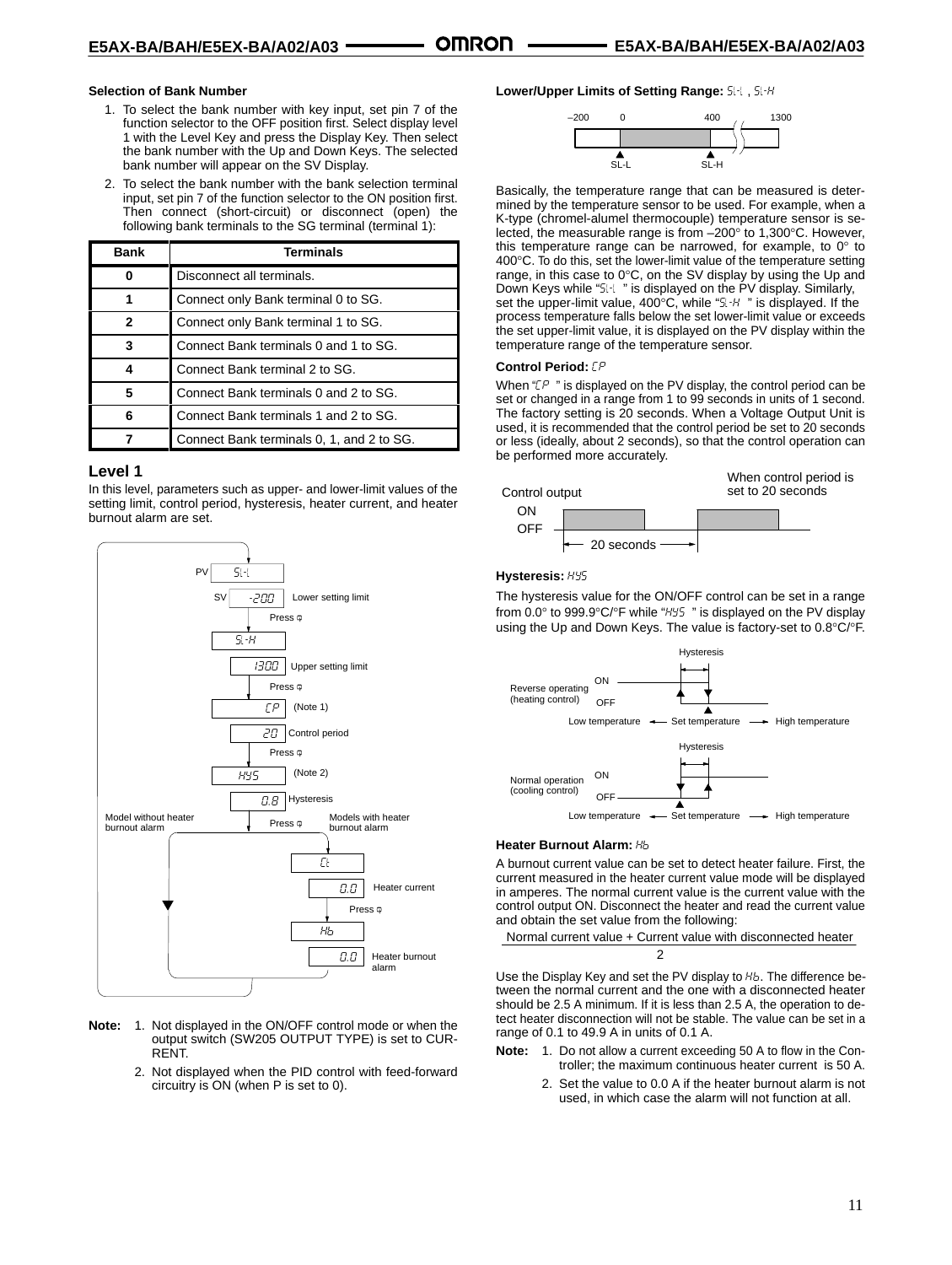#### **Selection of Bank Number**

- 1. To select the bank number with key input, set pin 7 of the function selector to the OFF position first. Select display level 1 with the Level Key and press the Display Key. Then select the bank number with the Up and Down Keys. The selected bank number will appear on the SV Display.
- 2. To select the bank number with the bank selection terminal input, set pin 7 of the function selector to the ON position first. Then connect (short-circuit) or disconnect (open) the following bank terminals to the SG terminal (terminal 1):

| Bank           | <b>Terminals</b>                          |
|----------------|-------------------------------------------|
| 0              | Disconnect all terminals.                 |
|                | Connect only Bank terminal 0 to SG.       |
| $\overline{2}$ | Connect only Bank terminal 1 to SG.       |
| 3              | Connect Bank terminals 0 and 1 to SG.     |
| 4              | Connect Bank terminal 2 to SG.            |
| 5              | Connect Bank terminals 0 and 2 to SG.     |
| 6              | Connect Bank terminals 1 and 2 to SG.     |
|                | Connect Bank terminals 0, 1, and 2 to SG. |

#### **Level 1**

In this level, parameters such as upper- and lower-limit values of the setting limit, control period, hysteresis, heater current, and heater burnout alarm are set.



- **Note:** 1. Not displayed in the ON/OFF control mode or when the output switch (SW205 OUTPUT TYPE) is set to CUR-RENT.
	- 2. Not displayed when the PID control with feed-forward circuitry is ON (when P is set to 0).

Lower/Upper Limits of Setting Range: 5L-L, 5L-H



Basically, the temperature range that can be measured is determined by the temperature sensor to be used. For example, when a K-type (chromel-alumel thermocouple) temperature sensor is selected, the measurable range is from –200° to 1,300°C. However, this temperature range can be narrowed, for example, to 0° to 400°C. To do this, set the lower-limit value of the temperature setting range, in this case to 0°C, on the SV display by using the Up and Down Keys while "5 | " is displayed on the PV display. Similarly, set the upper-limit value, 400°C, while "5l-H" is displayed. If the process temperature falls below the set lower-limit value or exceeds the set upper-limit value, it is displayed on the PV display within the temperature range of the temperature sensor.

#### **Control Period:**

When " $LP$ " is displayed on the PV display, the control period can be set or changed in a range from 1 to 99 seconds in units of 1 second. The factory setting is 20 seconds. When a Voltage Output Unit is used, it is recommended that the control period be set to 20 seconds or less (ideally, about 2 seconds), so that the control operation can be performed more accurately.



#### **Hysteresis:**

The hysteresis value for the ON/OFF control can be set in a range from  $0.0^\circ$  to 999.9 $\degree$ C/ $\degree$ F while " $H_2$ 5" is displayed on the PV display using the Up and Down Keys. The value is factory-set to 0.8°C/°F.



#### **Heater Burnout Alarm:**

A burnout current value can be set to detect heater failure. First, the current measured in the heater current value mode will be displayed in amperes. The normal current value is the current value with the control output ON. Disconnect the heater and read the current value and obtain the set value from the following:

Normal current value + Current value with disconnected heater 2

Use the Display Key and set the PV display to  $Hb$ . The difference between the normal current and the one with a disconnected heater should be 2.5 A minimum. If it is less than 2.5 A, the operation to detect heater disconnection will not be stable. The value can be set in a range of 0.1 to 49.9 A in units of 0.1 A.

- **Note:** 1. Do not allow a current exceeding 50 A to flow in the Controller; the maximum continuous heater current is 50 A.
	- 2. Set the value to 0.0 A if the heater burnout alarm is not used, in which case the alarm will not function at all.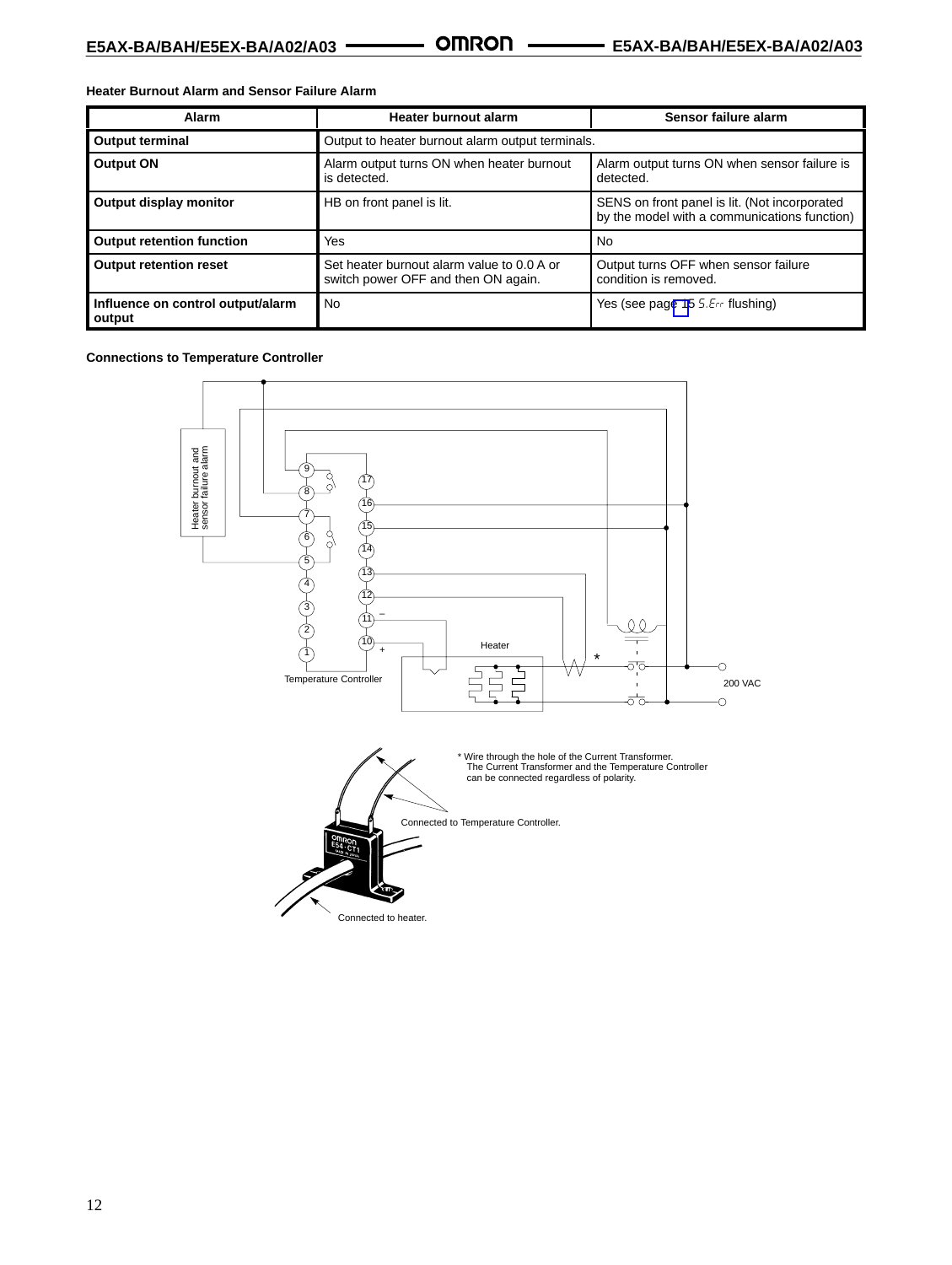**Heater Burnout Alarm and Sensor Failure Alarm**

| Alarm                                       | Heater burnout alarm                                                              | Sensor failure alarm                                                                          |
|---------------------------------------------|-----------------------------------------------------------------------------------|-----------------------------------------------------------------------------------------------|
| <b>Output terminal</b>                      | Output to heater burnout alarm output terminals.                                  |                                                                                               |
| <b>Output ON</b>                            | Alarm output turns ON when heater burnout<br>is detected.                         | Alarm output turns ON when sensor failure is<br>detected.                                     |
| Output display monitor                      | HB on front panel is lit.                                                         | SENS on front panel is lit. (Not incorporated<br>by the model with a communications function) |
| <b>Output retention function</b>            | Yes                                                                               | <b>No</b>                                                                                     |
| <b>Output retention reset</b>               | Set heater burnout alarm value to 0.0 A or<br>switch power OFF and then ON again. | Output turns OFF when sensor failure<br>condition is removed.                                 |
| Influence on control output/alarm<br>output | No.                                                                               | Yes (see page 15 5.Err flushing)                                                              |

**Connections to Temperature Controller**

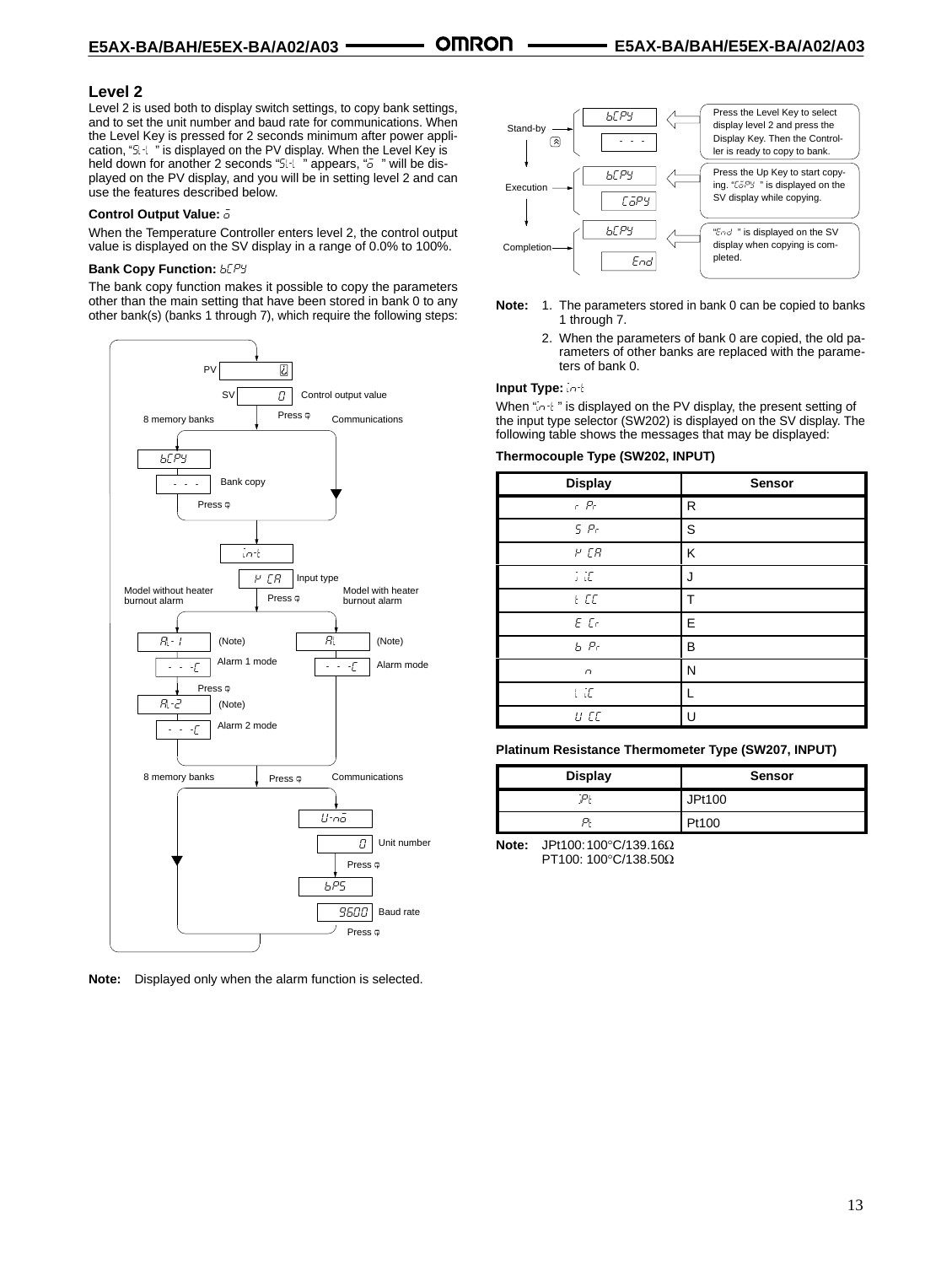#### **Level 2**

Level 2 is used both to display switch settings, to copy bank settings, and to set the unit number and baud rate for communications. When the Level Key is pressed for 2 seconds minimum after power application, "5 I is displayed on the PV display. When the Level Key is held down for another 2 seconds "5H i" appears, "a " will be displayed on the PV display, and you will be in setting level 2 and can use the features described below.

#### **Control Output Value:**

When the Temperature Controller enters level 2, the control output value is displayed on the SV display in a range of 0.0% to 100%.

#### **Bank Copy Function: bLPY**

The bank copy function makes it possible to copy the parameters other than the main setting that have been stored in bank 0 to any other bank(s) (banks 1 through 7), which require the following steps:



**Note:** Displayed only when the alarm function is selected.



- **Note:** 1. The parameters stored in bank 0 can be copied to banks 1 through 7.
	- 2. When the parameters of bank 0 are copied, the old parameters of other banks are replaced with the parameters of bank 0.

#### **Input Type:** -

When "in-t" is displayed on the PV display, the present setting of the input type selector (SW202) is displayed on the SV display. The following table shows the messages that may be displayed:

#### **Thermocouple Type (SW202, INPUT)**

| <b>Display</b>       | <b>Sensor</b> |
|----------------------|---------------|
| $r$ $Pr$             | R             |
| 5P <sub>r</sub>      | S             |
| $P$ $CR$             | Κ             |
| $\vdots$ if          | J             |
| E                    | Т             |
| $E$ $Cr$             | E             |
| $b$ $Pr$             | B             |
| $\cap$               | N             |
| $\cup$ $\mathcal{I}$ |               |
| U CC                 | U             |

**Platinum Resistance Thermometer Type (SW207, INPUT)**

| <b>Display</b> | <b>Sensor</b> |
|----------------|---------------|
|                | JPt100        |
| ◡              | Pt100         |

**Note:** JPt100:100°C/139.16Ω PT100: 100°C/138.50Ω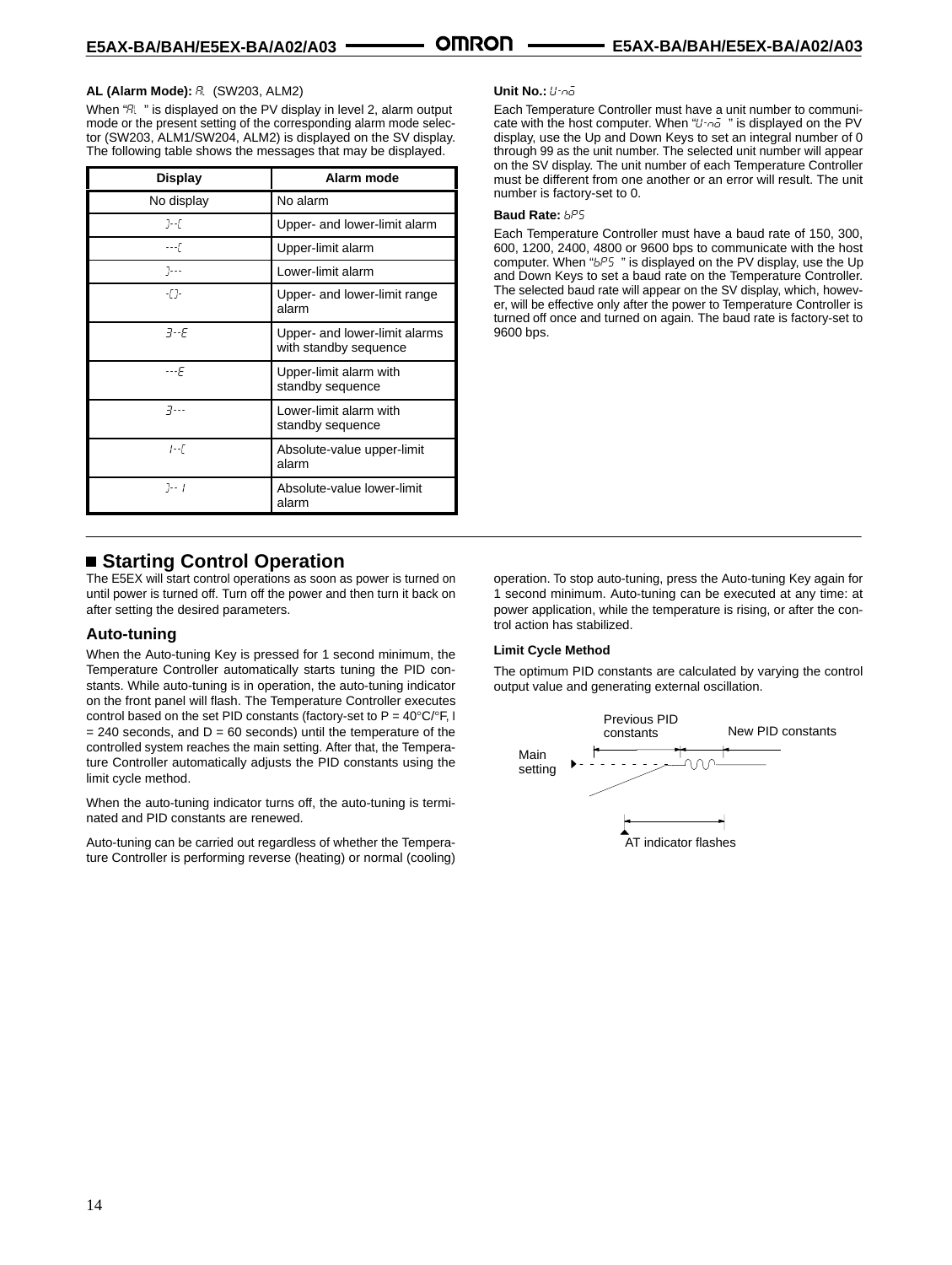#### **AL (Alarm Mode):**  (SW203, ALM2)

When "R " is displayed on the PV display in level 2, alarm output mode or the present setting of the corresponding alarm mode selector (SW203, ALM1/SW204, ALM2) is displayed on the SV display. The following table shows the messages that may be displayed.

| <b>Display</b> | Alarm mode                                             |  |  |
|----------------|--------------------------------------------------------|--|--|
| No display     | No alarm                                               |  |  |
| ]--[           | Upper- and lower-limit alarm                           |  |  |
| $---$          | Upper-limit alarm                                      |  |  |
| $7 - -$        | Lower-limit alarm                                      |  |  |
| -[]-           | Upper- and lower-limit range<br>alarm                  |  |  |
| $7-F$          | Upper- and lower-limit alarms<br>with standby sequence |  |  |
| ---F           | Upper-limit alarm with<br>standby sequence             |  |  |
| $7 - -$        | Lower-limit alarm with<br>standby sequence             |  |  |
| 1--E           | Absolute-value upper-limit<br>alarm                    |  |  |
| $7 - 1$        | Absolute-value lower-limit<br>alarm                    |  |  |

## **Starting Control Operation**

The E5EX will start control operations as soon as power is turned on until power is turned off. Turn off the power and then turn it back on after setting the desired parameters.

#### **Auto-tuning**

When the Auto-tuning Key is pressed for 1 second minimum, the Temperature Controller automatically starts tuning the PID constants. While auto-tuning is in operation, the auto-tuning indicator on the front panel will flash. The Temperature Controller executes control based on the set PID constants (factory-set to  $P = 40^{\circ}C/\sigma F$ , I  $= 240$  seconds, and  $D = 60$  seconds) until the temperature of the controlled system reaches the main setting. After that, the Temperature Controller automatically adjusts the PID constants using the limit cycle method.

When the auto-tuning indicator turns off, the auto-tuning is terminated and PID constants are renewed.

Auto-tuning can be carried out regardless of whether the Temperature Controller is performing reverse (heating) or normal (cooling)

#### **Unit No.:** *U-no*

Each Temperature Controller must have a unit number to communicate with the host computer. When " $U \cap \bar{a}$ " is displayed on the PV display, use the Up and Down Keys to set an integral number of 0 through 99 as the unit number. The selected unit number will appear on the SV display. The unit number of each Temperature Controller must be different from one another or an error will result. The unit number is factory-set to 0.

#### Baud Rate: **bP5**

Each Temperature Controller must have a baud rate of 150, 300, 600, 1200, 2400, 4800 or 9600 bps to communicate with the host computer. When " $bP5$ " is displayed on the PV display, use the Up and Down Keys to set a baud rate on the Temperature Controller. The selected baud rate will appear on the SV display, which, however, will be effective only after the power to Temperature Controller is turned off once and turned on again. The baud rate is factory-set to 9600 bps.

operation. To stop auto-tuning, press the Auto-tuning Key again for 1 second minimum. Auto-tuning can be executed at any time: at power application, while the temperature is rising, or after the control action has stabilized.

#### **Limit Cycle Method**

The optimum PID constants are calculated by varying the control output value and generating external oscillation.

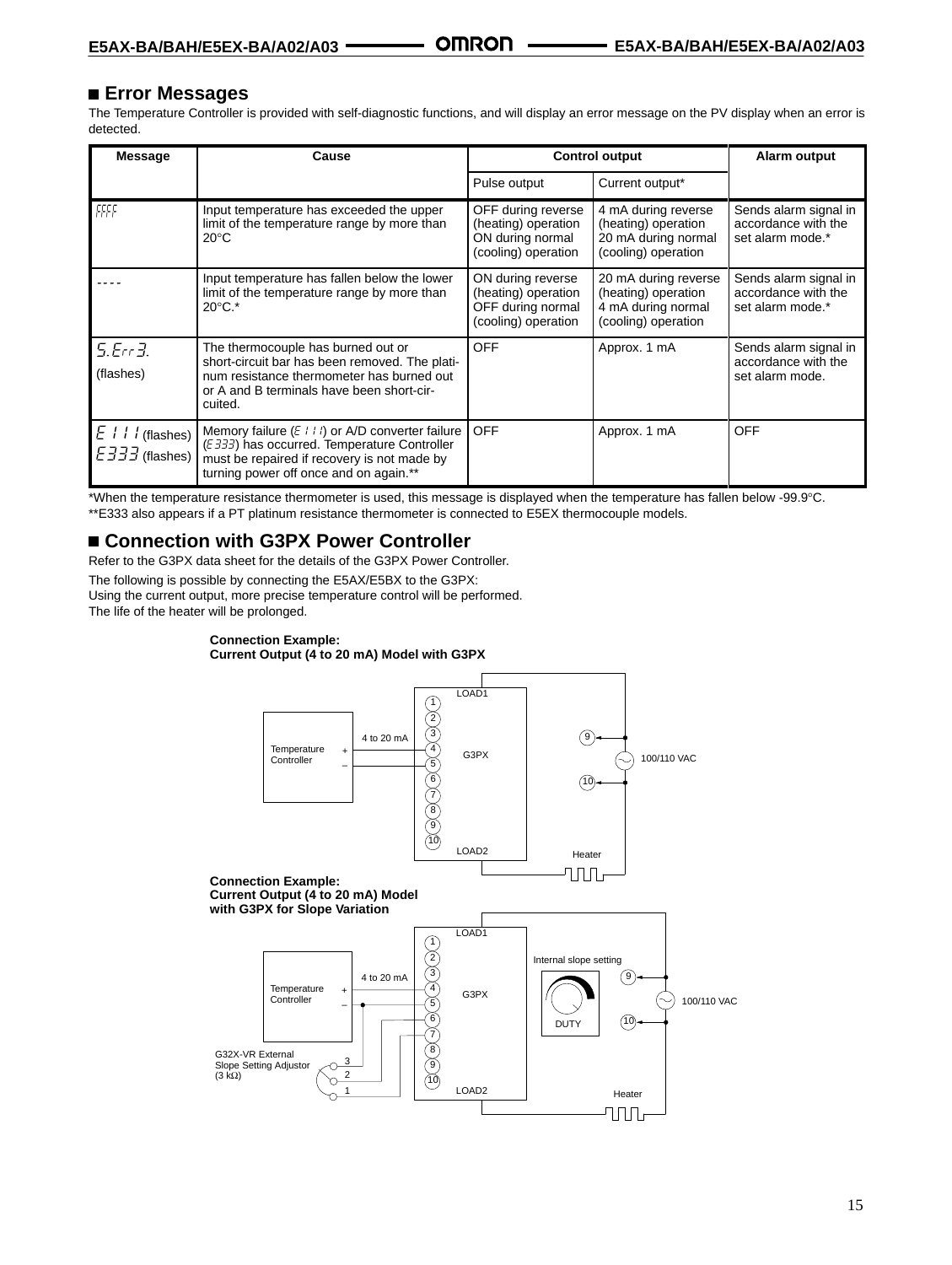### <span id="page-14-0"></span> **Error Messages**

The Temperature Controller is provided with self-diagnostic functions, and will display an error message on the PV display when an error is detected.

| <b>Message</b>                                           | Cause                                                                                                                                                                                     | <b>Control output</b>                                                                | Alarm output                                                                             |                                                                  |
|----------------------------------------------------------|-------------------------------------------------------------------------------------------------------------------------------------------------------------------------------------------|--------------------------------------------------------------------------------------|------------------------------------------------------------------------------------------|------------------------------------------------------------------|
|                                                          |                                                                                                                                                                                           | Pulse output                                                                         | Current output*                                                                          |                                                                  |
| FFFF                                                     | Input temperature has exceeded the upper<br>limit of the temperature range by more than<br>$20^{\circ}$ C                                                                                 | OFF during reverse<br>(heating) operation<br>ON during normal<br>(cooling) operation | 4 mA during reverse<br>(heating) operation<br>20 mA during normal<br>(cooling) operation | Sends alarm signal in<br>accordance with the<br>set alarm mode.* |
|                                                          | Input temperature has fallen below the lower<br>limit of the temperature range by more than<br>$20^{\circ}$ C.*                                                                           | ON during reverse<br>(heating) operation<br>OFF during normal<br>(cooling) operation | 20 mA during reverse<br>(heating) operation<br>4 mA during normal<br>(cooling) operation | Sends alarm signal in<br>accordance with the<br>set alarm mode.* |
| 5.ErrJ.<br>(flashes)                                     | The thermocouple has burned out or<br>short-circuit bar has been removed. The plati-<br>num resistance thermometer has burned out<br>or A and B terminals have been short-cir-<br>cuited. | <b>OFF</b>                                                                           | Approx. 1 mA                                                                             | Sends alarm signal in<br>accordance with the<br>set alarm mode.  |
| $E$ $l$ $l$ $l$ (flashes)<br>$E\overline{333}$ (flashes) | Memory failure $(E + E)$ or A/D converter failure<br>(E333) has occurred. Temperature Controller<br>must be repaired if recovery is not made by<br>turning power off once and on again.** | <b>OFF</b>                                                                           | Approx. 1 mA                                                                             | <b>OFF</b>                                                       |

\*When the temperature resistance thermometer is used, this message is displayed when the temperature has fallen below -99.9°C. \*\*E333 also appears if a PT platinum resistance thermometer is connected to E5EX thermocouple models.

## **Connection with G3PX Power Controller**

Refer to the G3PX data sheet for the details of the G3PX Power Controller.

The following is possible by connecting the E5AX/E5BX to the G3PX:

Using the current output, more precise temperature control will be performed. The life of the heater will be prolonged.

#### **Connection Example:**

**Current Output (4 to 20 mA) Model with G3PX**

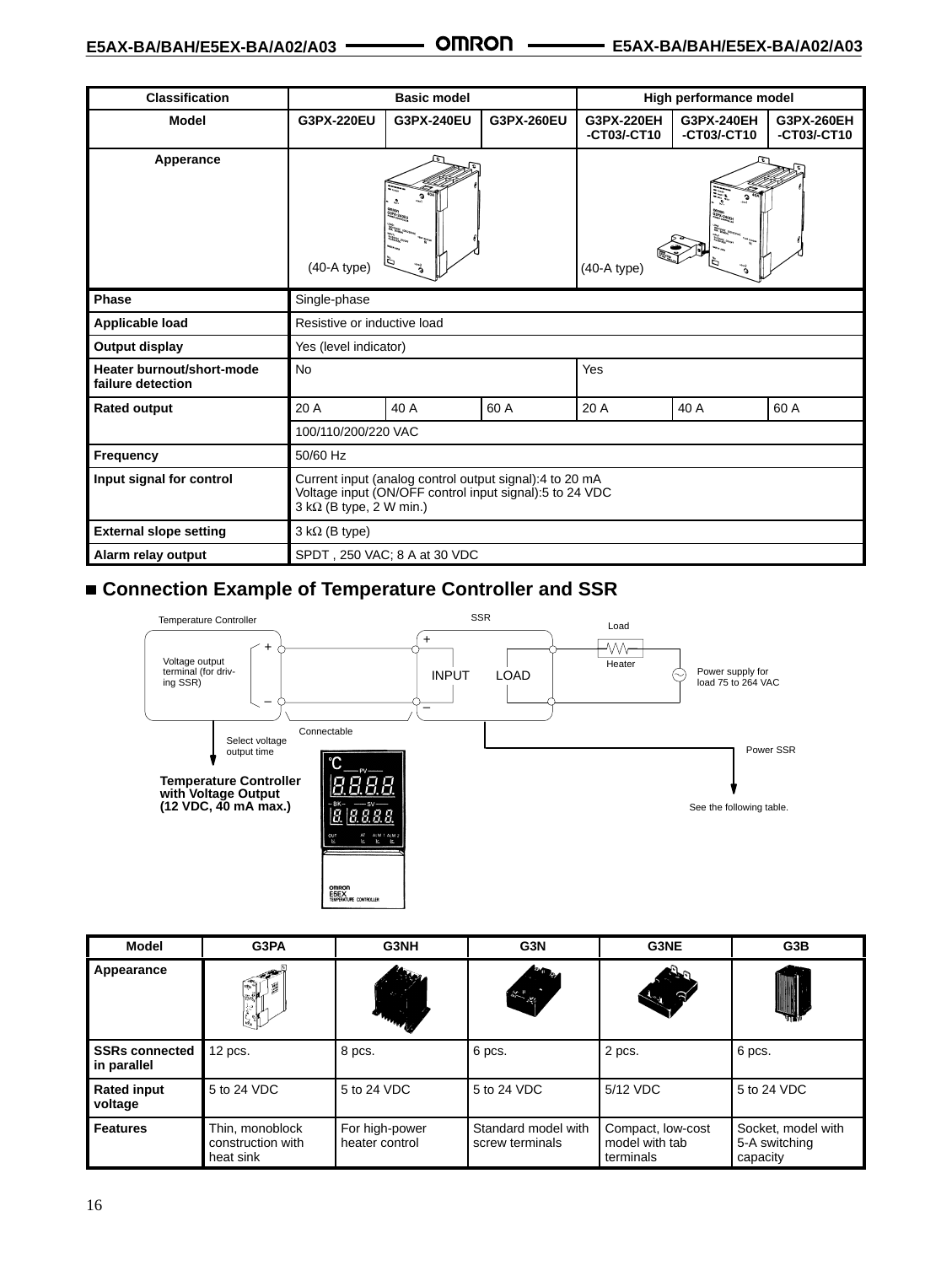| <b>Classification</b>                          | <b>Basic model</b>                                                                                                                                              |            | High performance model |                           |                           |                           |
|------------------------------------------------|-----------------------------------------------------------------------------------------------------------------------------------------------------------------|------------|------------------------|---------------------------|---------------------------|---------------------------|
| <b>Model</b>                                   | G3PX-220EU                                                                                                                                                      | G3PX-240EU | G3PX-260EU             | G3PX-220EH<br>-CT03/-CT10 | G3PX-240EH<br>-CT03/-CT10 | G3PX-260EH<br>-CT03/-CT10 |
| Apperance                                      | G<br>$\begin{matrix} 0.01001\\ 0.01936-2.0011\\ 2.00101\\ 0.01101\\ 0.01101\\ \end{matrix}$<br>$\Xi_{\overline{\mathbb{Z}}^n_{\geq 0}}$ .<br>$(40-A type)$<br>à |            |                        | G<br>$(40-A$ type)        |                           |                           |
| <b>Phase</b>                                   | Single-phase                                                                                                                                                    |            |                        |                           |                           |                           |
| Applicable load                                | Resistive or inductive load                                                                                                                                     |            |                        |                           |                           |                           |
| Output display                                 | Yes (level indicator)                                                                                                                                           |            |                        |                           |                           |                           |
| Heater burnout/short-mode<br>failure detection | No                                                                                                                                                              |            |                        | Yes                       |                           |                           |
| <b>Rated output</b>                            | 20 A                                                                                                                                                            | 40 A       | 60 A                   | 20 A                      | 40 A                      | 60 A                      |
|                                                | 100/110/200/220 VAC                                                                                                                                             |            |                        |                           |                           |                           |
| Frequency                                      | 50/60 Hz                                                                                                                                                        |            |                        |                           |                           |                           |
| Input signal for control                       | Current input (analog control output signal):4 to 20 mA<br>Voltage input (ON/OFF control input signal):5 to 24 VDC<br>$3 k\Omega$ (B type, 2 W min.)            |            |                        |                           |                           |                           |
| <b>External slope setting</b>                  | $3 k\Omega$ (B type)                                                                                                                                            |            |                        |                           |                           |                           |
| Alarm relay output                             | SPDT, 250 VAC; 8 A at 30 VDC                                                                                                                                    |            |                        |                           |                           |                           |

## ■ Connection Example of Temperature Controller and SSR



| Model                                | G3PA                                              | G3NH                             | G3N                                    | G3NE                                             | G3B                                             |
|--------------------------------------|---------------------------------------------------|----------------------------------|----------------------------------------|--------------------------------------------------|-------------------------------------------------|
| Appearance                           | $\mathbb{R}$<br>屬<br>Ŗ<br>سليل.<br>- الأ          | o,<br><b>STATE</b>               |                                        |                                                  |                                                 |
| <b>SSRs connected</b><br>in parallel | $12$ pcs.                                         | 8 pcs.                           | 6 pcs.                                 | 2 pcs.                                           | 6 pcs.                                          |
| <b>Rated input</b><br>voltage        | 5 to 24 VDC                                       | 5 to 24 VDC                      | 5 to 24 VDC                            | 5/12 VDC                                         | 5 to 24 VDC                                     |
| <b>Features</b>                      | Thin, monoblock<br>construction with<br>heat sink | For high-power<br>heater control | Standard model with<br>screw terminals | Compact, low-cost<br>model with tab<br>terminals | Socket, model with<br>5-A switching<br>capacity |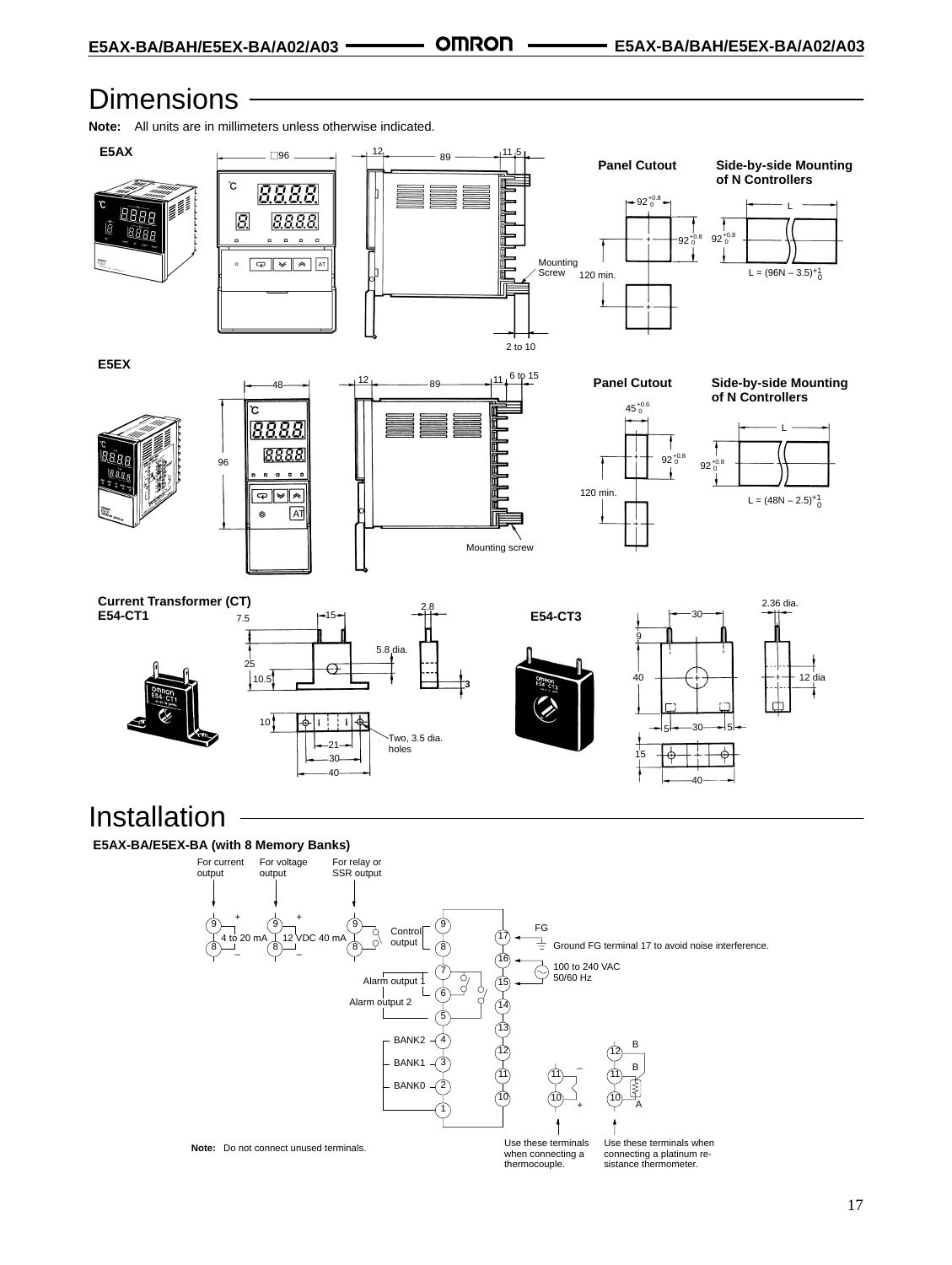## **Dimensions**

**Note:** All units are in millimeters unless otherwise indicated.



**E5AX-BA/E5EX-BA (with 8 Memory Banks)**

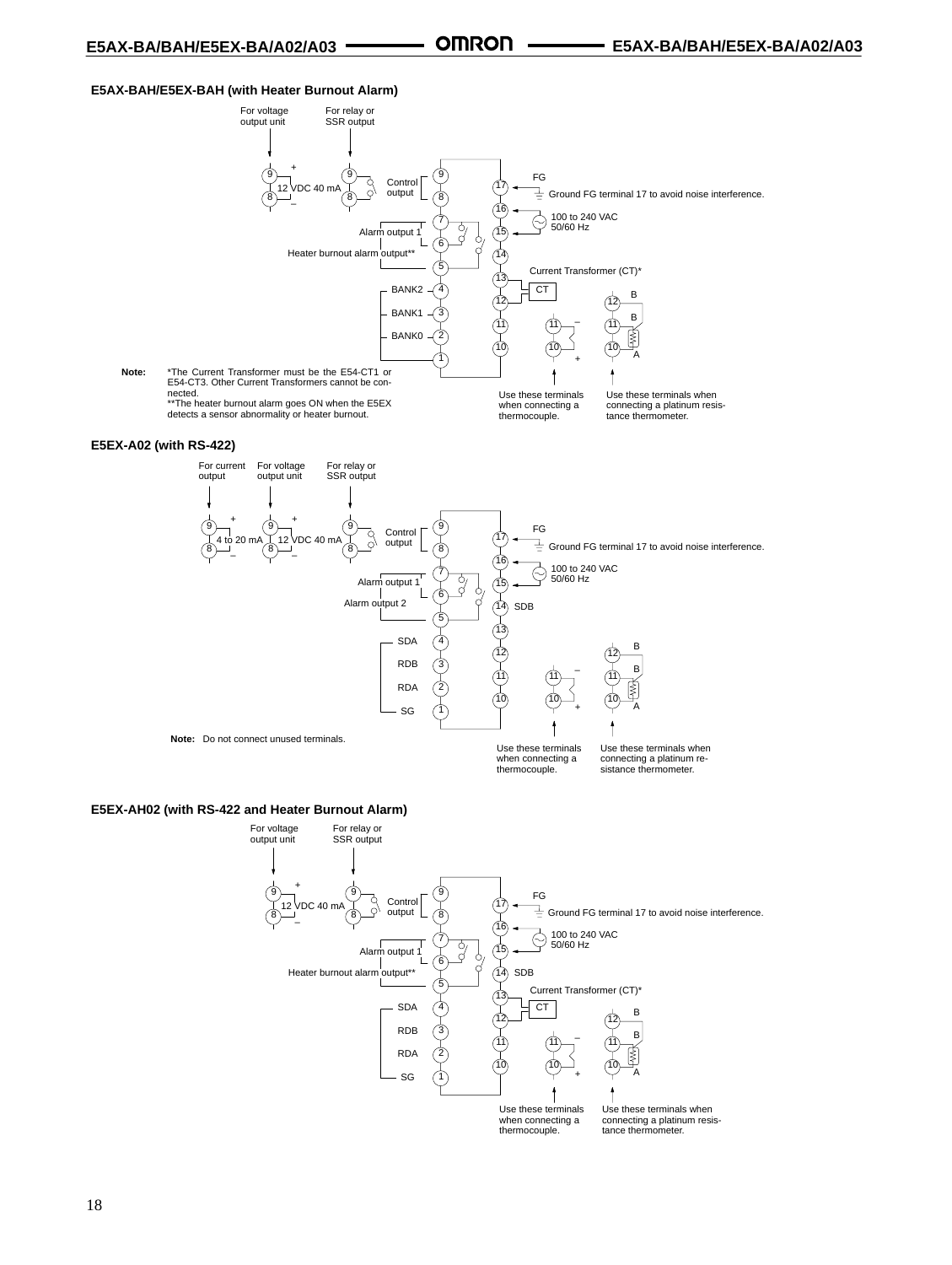#### **E5AX-BAH/E5EX-BAH (with Heater Burnout Alarm)**



#### **E5EX-AH02 (with RS-422 and Heater Burnout Alarm)**

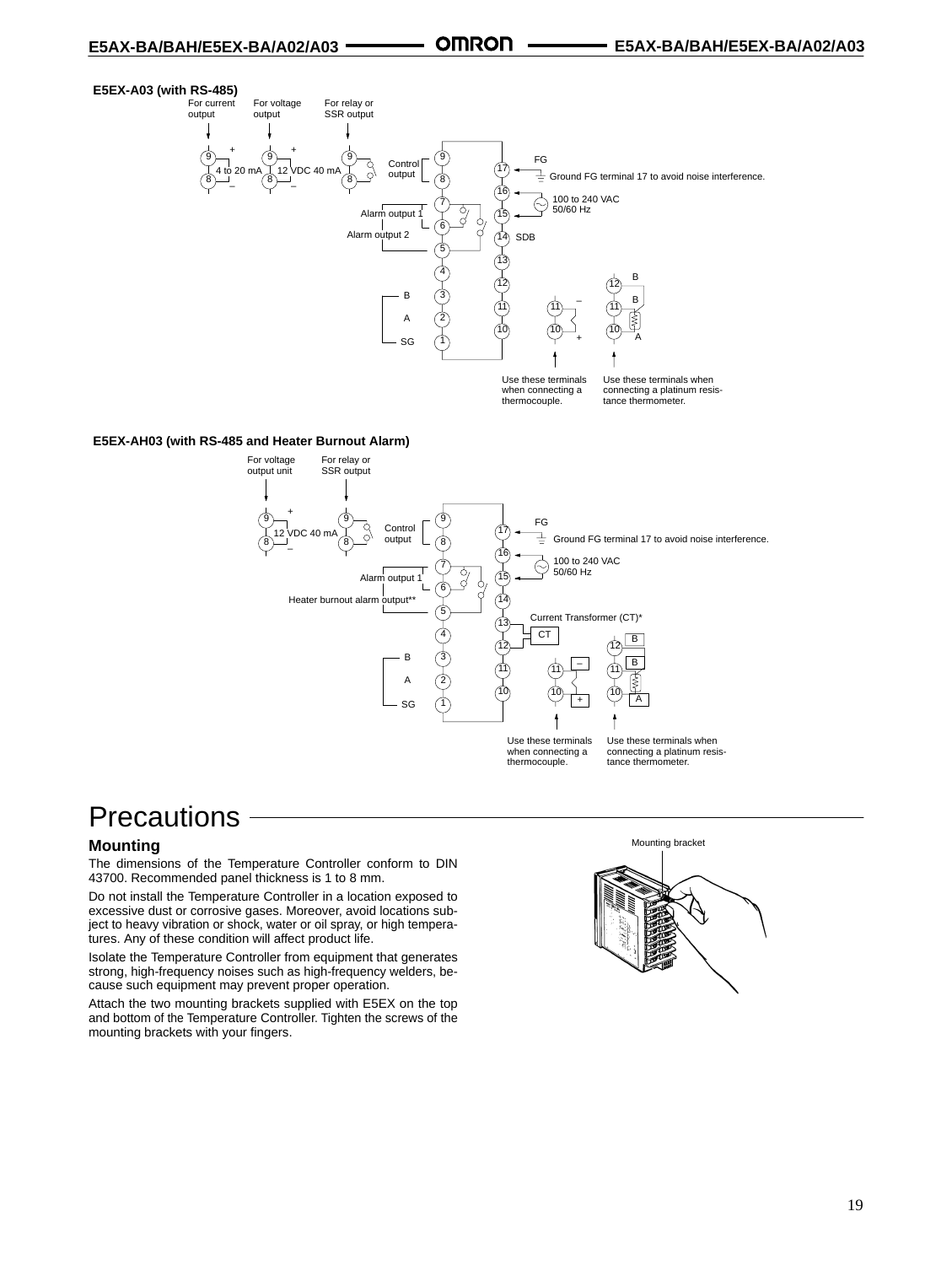#### **E5EX-A03 (with RS-485)**



#### **E5EX-AH03 (with RS-485 and Heater Burnout Alarm)**



## **Precautions**

#### **Mounting**

The dimensions of the Temperature Controller conform to DIN 43700. Recommended panel thickness is 1 to 8 mm.

Do not install the Temperature Controller in a location exposed to excessive dust or corrosive gases. Moreover, avoid locations subject to heavy vibration or shock, water or oil spray, or high temperatures. Any of these condition will affect product life.

Isolate the Temperature Controller from equipment that generates strong, high-frequency noises such as high-frequency welders, because such equipment may prevent proper operation.

Attach the two mounting brackets supplied with E5EX on the top and bottom of the Temperature Controller. Tighten the screws of the mounting brackets with your fingers.